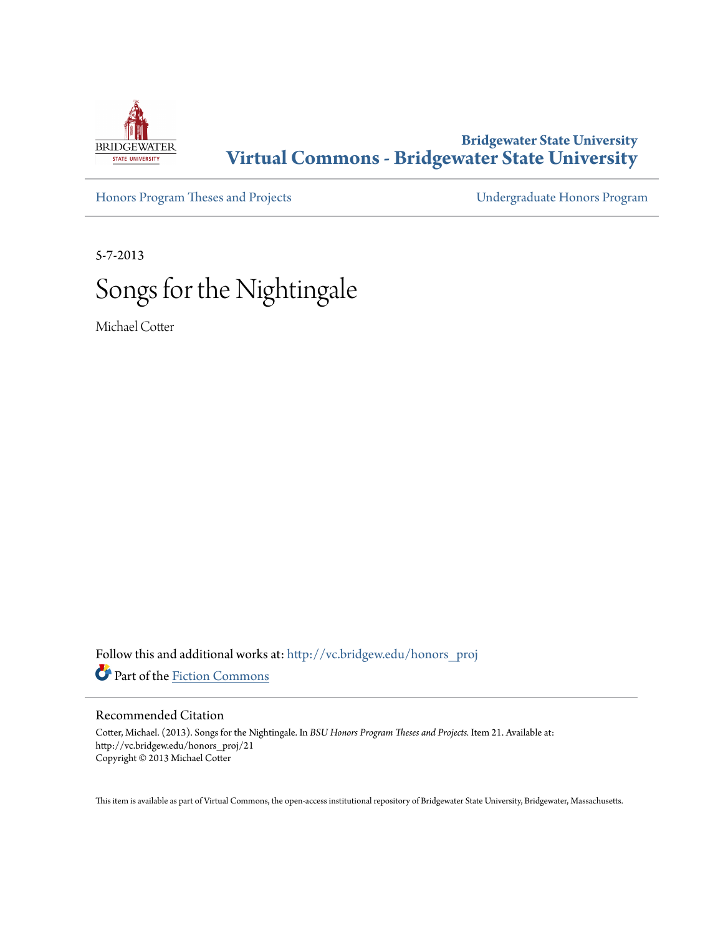

## **Bridgewater State University [Virtual Commons - Bridgewater State University](http://vc.bridgew.edu?utm_source=vc.bridgew.edu%2Fhonors_proj%2F21&utm_medium=PDF&utm_campaign=PDFCoverPages)**

[Honors Program Theses and Projects](http://vc.bridgew.edu/honors_proj?utm_source=vc.bridgew.edu%2Fhonors_proj%2F21&utm_medium=PDF&utm_campaign=PDFCoverPages) [Undergraduate Honors Program](http://vc.bridgew.edu/honors?utm_source=vc.bridgew.edu%2Fhonors_proj%2F21&utm_medium=PDF&utm_campaign=PDFCoverPages)

5-7-2013

## Songs for the Nightingale

Michael Cotter

Follow this and additional works at: [http://vc.bridgew.edu/honors\\_proj](http://vc.bridgew.edu/honors_proj?utm_source=vc.bridgew.edu%2Fhonors_proj%2F21&utm_medium=PDF&utm_campaign=PDFCoverPages) Part of the [Fiction Commons](http://network.bepress.com/hgg/discipline/1151?utm_source=vc.bridgew.edu%2Fhonors_proj%2F21&utm_medium=PDF&utm_campaign=PDFCoverPages)

## Recommended Citation

Cotter, Michael. (2013). Songs for the Nightingale. In *BSU Honors Program Theses and Projects.* Item 21. Available at: http://vc.bridgew.edu/honors\_proj/21 Copyright © 2013 Michael Cotter

This item is available as part of Virtual Commons, the open-access institutional repository of Bridgewater State University, Bridgewater, Massachusetts.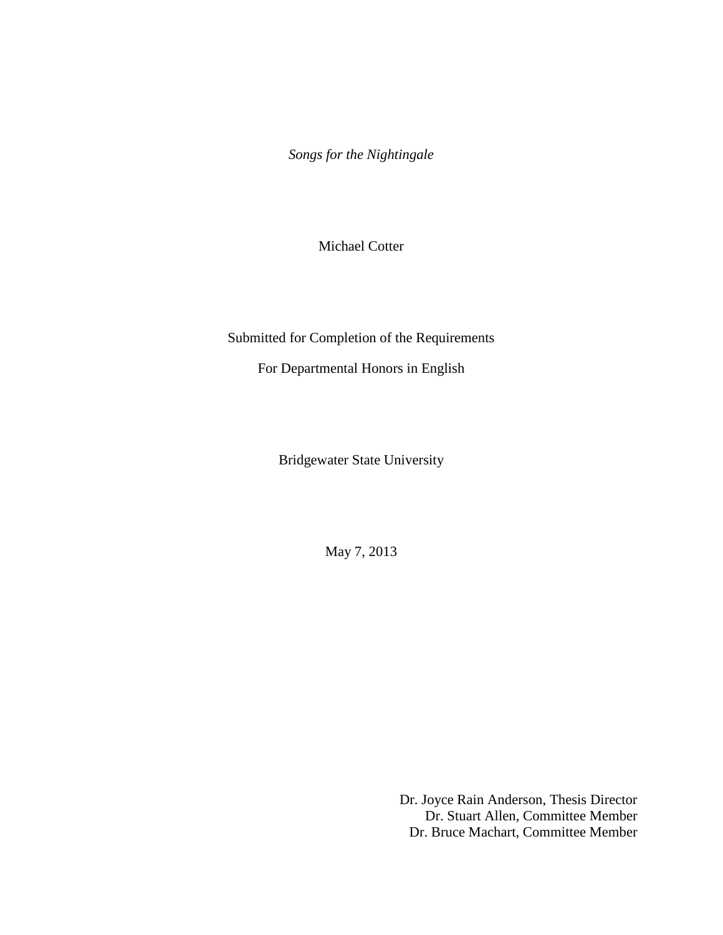*Songs for the Nightingale*

Michael Cotter

Submitted for Completion of the Requirements

For Departmental Honors in English

Bridgewater State University

May 7, 2013

Dr. Joyce Rain Anderson, Thesis Director Dr. Stuart Allen, Committee Member Dr. Bruce Machart, Committee Member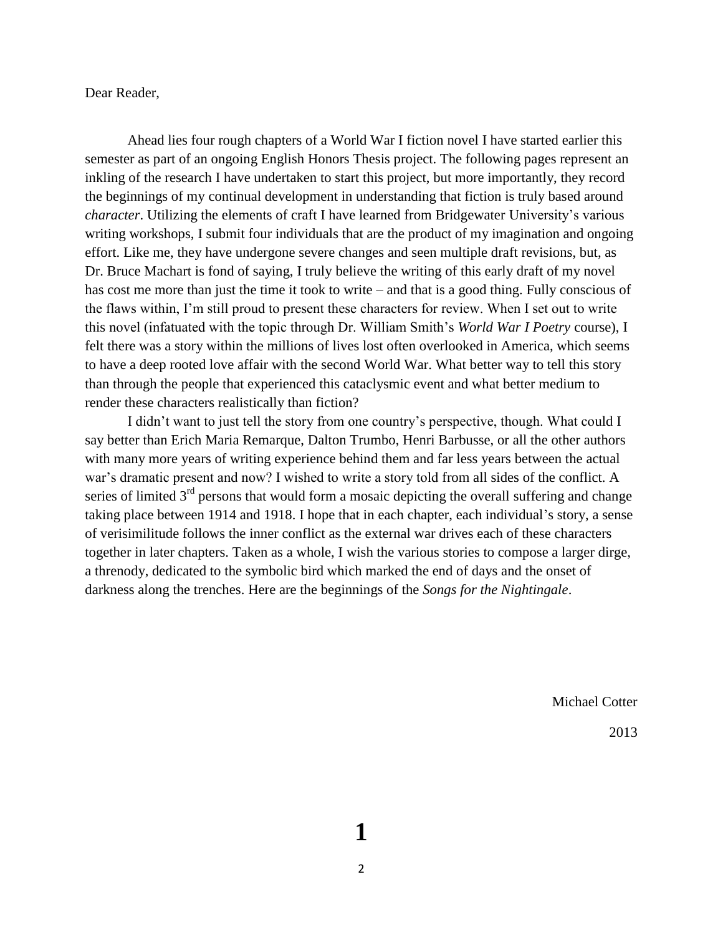Dear Reader,

Ahead lies four rough chapters of a World War I fiction novel I have started earlier this semester as part of an ongoing English Honors Thesis project. The following pages represent an inkling of the research I have undertaken to start this project, but more importantly, they record the beginnings of my continual development in understanding that fiction is truly based around *character*. Utilizing the elements of craft I have learned from Bridgewater University's various writing workshops, I submit four individuals that are the product of my imagination and ongoing effort. Like me, they have undergone severe changes and seen multiple draft revisions, but, as Dr. Bruce Machart is fond of saying, I truly believe the writing of this early draft of my novel has cost me more than just the time it took to write – and that is a good thing. Fully conscious of the flaws within, I'm still proud to present these characters for review. When I set out to write this novel (infatuated with the topic through Dr. William Smith's *World War I Poetry* course), I felt there was a story within the millions of lives lost often overlooked in America, which seems to have a deep rooted love affair with the second World War. What better way to tell this story than through the people that experienced this cataclysmic event and what better medium to render these characters realistically than fiction?

I didn't want to just tell the story from one country's perspective, though. What could I say better than Erich Maria Remarque, Dalton Trumbo, Henri Barbusse, or all the other authors with many more years of writing experience behind them and far less years between the actual war's dramatic present and now? I wished to write a story told from all sides of the conflict. A series of limited  $3<sup>rd</sup>$  persons that would form a mosaic depicting the overall suffering and change taking place between 1914 and 1918. I hope that in each chapter, each individual's story, a sense of verisimilitude follows the inner conflict as the external war drives each of these characters together in later chapters. Taken as a whole, I wish the various stories to compose a larger dirge, a threnody, dedicated to the symbolic bird which marked the end of days and the onset of darkness along the trenches. Here are the beginnings of the *Songs for the Nightingale*.

Michael Cotter

2013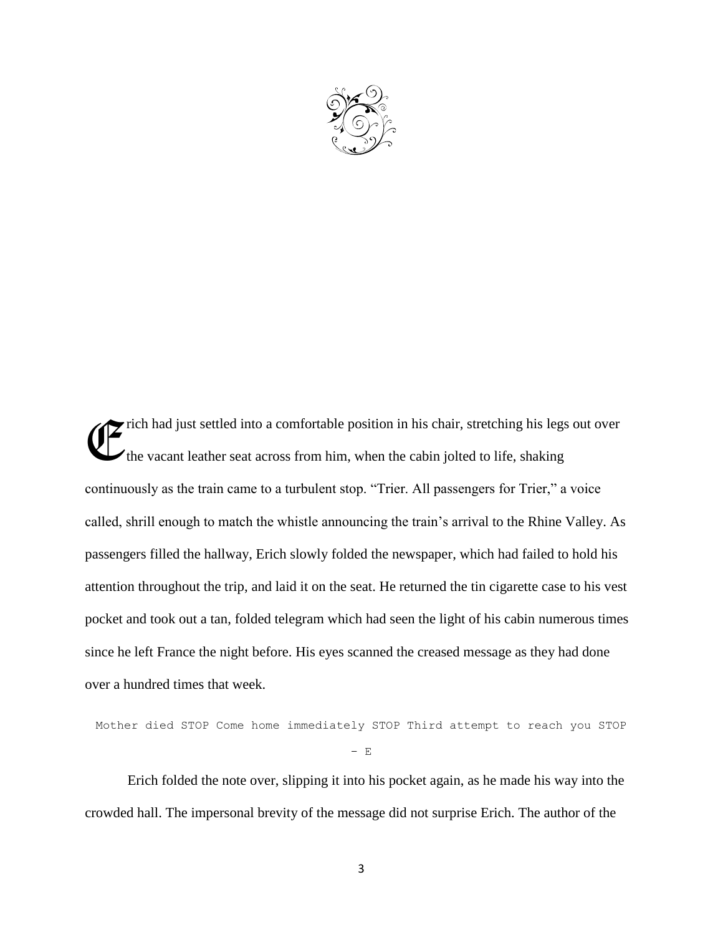

rich had just settled into a comfortable position in his chair, stretching his legs out over the vacant leather seat across from him, when the cabin jolted to life, shaking continuously as the train came to a turbulent stop. "Trier. All passengers for Trier," a voice called, shrill enough to match the whistle announcing the train's arrival to the Rhine Valley. As passengers filled the hallway, Erich slowly folded the newspaper, which had failed to hold his attention throughout the trip, and laid it on the seat. He returned the tin cigarette case to his vest pocket and took out a tan, folded telegram which had seen the light of his cabin numerous times since he left France the night before. His eyes scanned the creased message as they had done over a hundred times that week. E

```
Mother died STOP Come home immediately STOP Third attempt to reach you STOP
                        - E
```
Erich folded the note over, slipping it into his pocket again, as he made his way into the crowded hall. The impersonal brevity of the message did not surprise Erich. The author of the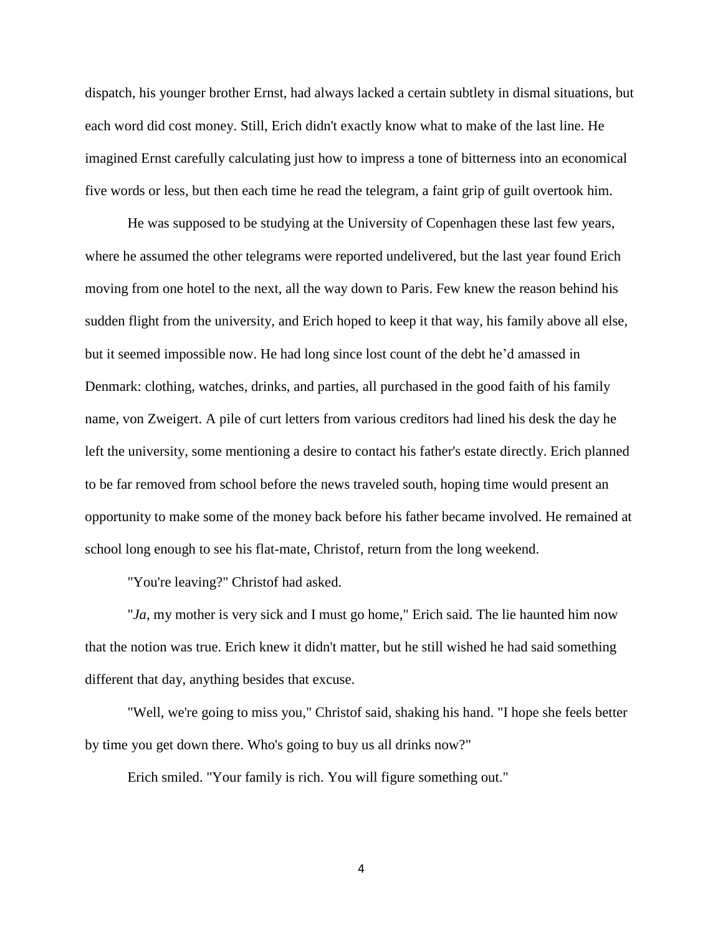dispatch, his younger brother Ernst, had always lacked a certain subtlety in dismal situations, but each word did cost money. Still, Erich didn't exactly know what to make of the last line. He imagined Ernst carefully calculating just how to impress a tone of bitterness into an economical five words or less, but then each time he read the telegram, a faint grip of guilt overtook him.

He was supposed to be studying at the University of Copenhagen these last few years, where he assumed the other telegrams were reported undelivered, but the last year found Erich moving from one hotel to the next, all the way down to Paris. Few knew the reason behind his sudden flight from the university, and Erich hoped to keep it that way, his family above all else, but it seemed impossible now. He had long since lost count of the debt he'd amassed in Denmark: clothing, watches, drinks, and parties, all purchased in the good faith of his family name, von Zweigert. A pile of curt letters from various creditors had lined his desk the day he left the university, some mentioning a desire to contact his father's estate directly. Erich planned to be far removed from school before the news traveled south, hoping time would present an opportunity to make some of the money back before his father became involved. He remained at school long enough to see his flat-mate, Christof, return from the long weekend.

"You're leaving?" Christof had asked.

"*Ja*, my mother is very sick and I must go home," Erich said. The lie haunted him now that the notion was true. Erich knew it didn't matter, but he still wished he had said something different that day, anything besides that excuse.

"Well, we're going to miss you," Christof said, shaking his hand. "I hope she feels better by time you get down there. Who's going to buy us all drinks now?"

Erich smiled. "Your family is rich. You will figure something out."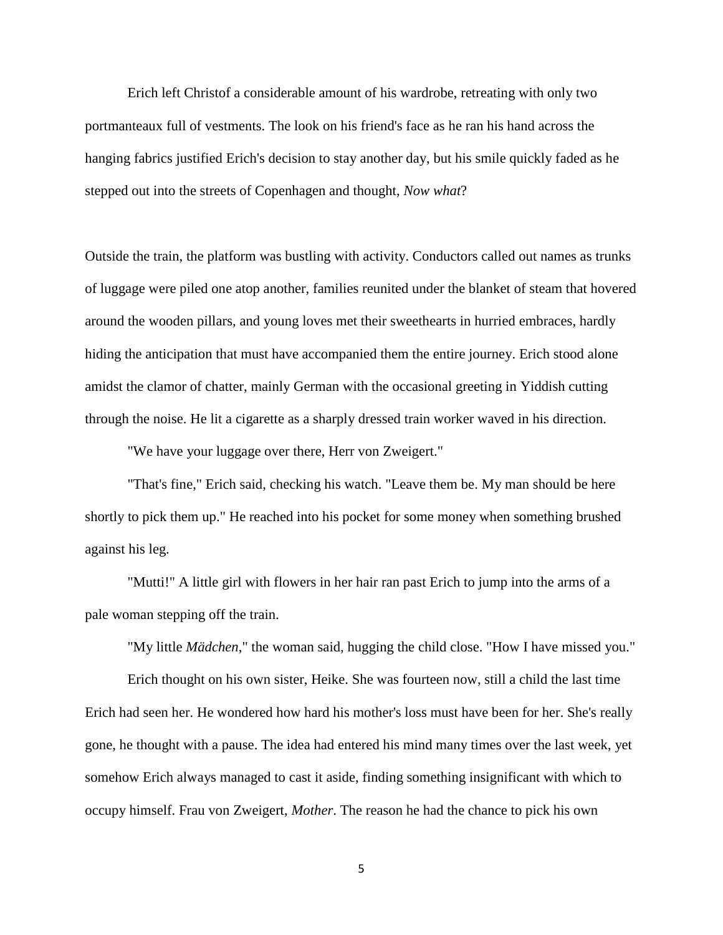Erich left Christof a considerable amount of his wardrobe, retreating with only two portmanteaux full of vestments. The look on his friend's face as he ran his hand across the hanging fabrics justified Erich's decision to stay another day, but his smile quickly faded as he stepped out into the streets of Copenhagen and thought, *Now what*?

Outside the train, the platform was bustling with activity. Conductors called out names as trunks of luggage were piled one atop another, families reunited under the blanket of steam that hovered around the wooden pillars, and young loves met their sweethearts in hurried embraces, hardly hiding the anticipation that must have accompanied them the entire journey. Erich stood alone amidst the clamor of chatter, mainly German with the occasional greeting in Yiddish cutting through the noise. He lit a cigarette as a sharply dressed train worker waved in his direction.

"We have your luggage over there, Herr von Zweigert."

"That's fine," Erich said, checking his watch. "Leave them be. My man should be here shortly to pick them up." He reached into his pocket for some money when something brushed against his leg.

"Mutti!" A little girl with flowers in her hair ran past Erich to jump into the arms of a pale woman stepping off the train.

"My little *Mädchen*," the woman said, hugging the child close. "How I have missed you."

Erich thought on his own sister, Heike. She was fourteen now, still a child the last time Erich had seen her. He wondered how hard his mother's loss must have been for her. She's really gone, he thought with a pause. The idea had entered his mind many times over the last week, yet somehow Erich always managed to cast it aside, finding something insignificant with which to occupy himself. Frau von Zweigert, *Mother*. The reason he had the chance to pick his own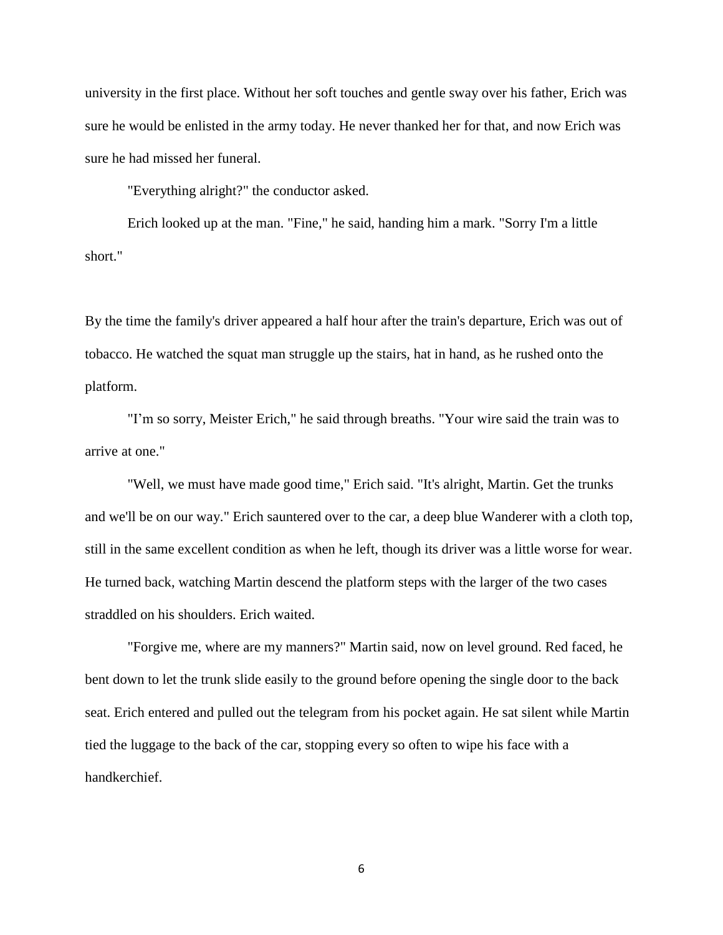university in the first place. Without her soft touches and gentle sway over his father, Erich was sure he would be enlisted in the army today. He never thanked her for that, and now Erich was sure he had missed her funeral.

"Everything alright?" the conductor asked.

Erich looked up at the man. "Fine," he said, handing him a mark. "Sorry I'm a little short."

By the time the family's driver appeared a half hour after the train's departure, Erich was out of tobacco. He watched the squat man struggle up the stairs, hat in hand, as he rushed onto the platform.

"I'm so sorry, Meister Erich," he said through breaths. "Your wire said the train was to arrive at one."

"Well, we must have made good time," Erich said. "It's alright, Martin. Get the trunks and we'll be on our way." Erich sauntered over to the car, a deep blue Wanderer with a cloth top, still in the same excellent condition as when he left, though its driver was a little worse for wear. He turned back, watching Martin descend the platform steps with the larger of the two cases straddled on his shoulders. Erich waited.

"Forgive me, where are my manners?" Martin said, now on level ground. Red faced, he bent down to let the trunk slide easily to the ground before opening the single door to the back seat. Erich entered and pulled out the telegram from his pocket again. He sat silent while Martin tied the luggage to the back of the car, stopping every so often to wipe his face with a handkerchief.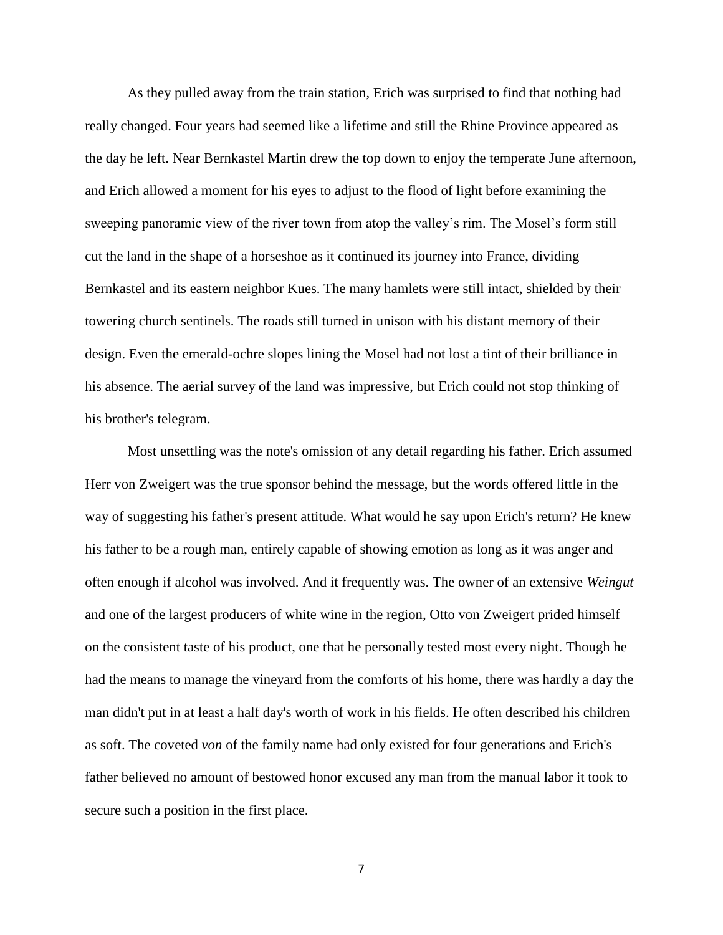As they pulled away from the train station, Erich was surprised to find that nothing had really changed. Four years had seemed like a lifetime and still the Rhine Province appeared as the day he left. Near Bernkastel Martin drew the top down to enjoy the temperate June afternoon, and Erich allowed a moment for his eyes to adjust to the flood of light before examining the sweeping panoramic view of the river town from atop the valley's rim. The Mosel's form still cut the land in the shape of a horseshoe as it continued its journey into France, dividing Bernkastel and its eastern neighbor Kues. The many hamlets were still intact, shielded by their towering church sentinels. The roads still turned in unison with his distant memory of their design. Even the emerald-ochre slopes lining the Mosel had not lost a tint of their brilliance in his absence. The aerial survey of the land was impressive, but Erich could not stop thinking of his brother's telegram.

Most unsettling was the note's omission of any detail regarding his father. Erich assumed Herr von Zweigert was the true sponsor behind the message, but the words offered little in the way of suggesting his father's present attitude. What would he say upon Erich's return? He knew his father to be a rough man, entirely capable of showing emotion as long as it was anger and often enough if alcohol was involved. And it frequently was. The owner of an extensive *Weingut* and one of the largest producers of white wine in the region, Otto von Zweigert prided himself on the consistent taste of his product, one that he personally tested most every night. Though he had the means to manage the vineyard from the comforts of his home, there was hardly a day the man didn't put in at least a half day's worth of work in his fields. He often described his children as soft. The coveted *von* of the family name had only existed for four generations and Erich's father believed no amount of bestowed honor excused any man from the manual labor it took to secure such a position in the first place.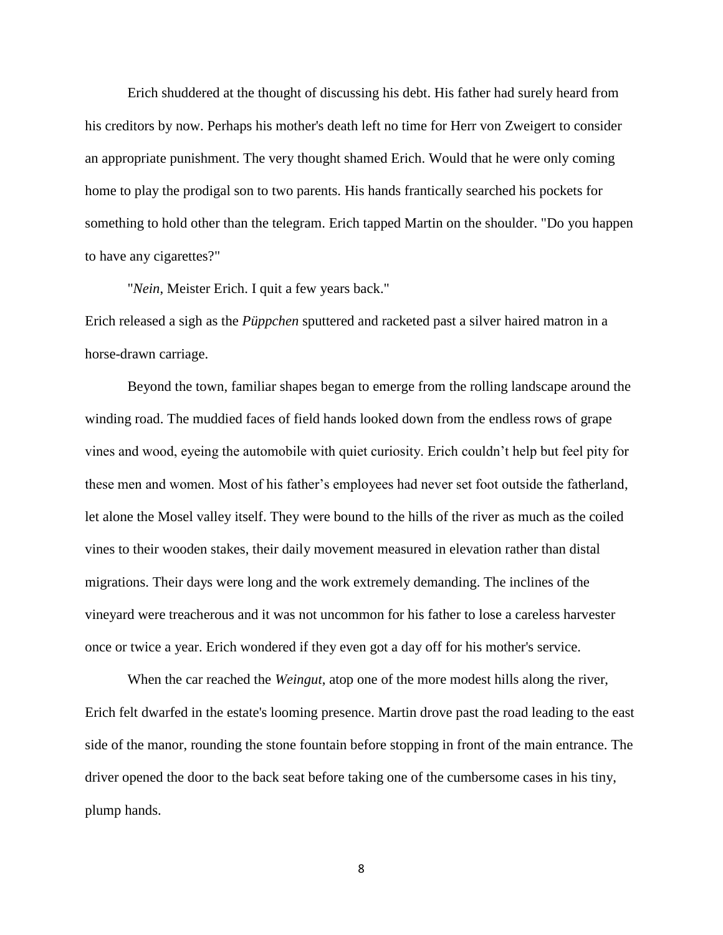Erich shuddered at the thought of discussing his debt. His father had surely heard from his creditors by now. Perhaps his mother's death left no time for Herr von Zweigert to consider an appropriate punishment. The very thought shamed Erich. Would that he were only coming home to play the prodigal son to two parents. His hands frantically searched his pockets for something to hold other than the telegram. Erich tapped Martin on the shoulder. "Do you happen to have any cigarettes?"

"*Nein*, Meister Erich. I quit a few years back."

Erich released a sigh as the *Püppchen* sputtered and racketed past a silver haired matron in a horse-drawn carriage.

Beyond the town, familiar shapes began to emerge from the rolling landscape around the winding road. The muddied faces of field hands looked down from the endless rows of grape vines and wood, eyeing the automobile with quiet curiosity. Erich couldn't help but feel pity for these men and women. Most of his father's employees had never set foot outside the fatherland, let alone the Mosel valley itself. They were bound to the hills of the river as much as the coiled vines to their wooden stakes, their daily movement measured in elevation rather than distal migrations. Their days were long and the work extremely demanding. The inclines of the vineyard were treacherous and it was not uncommon for his father to lose a careless harvester once or twice a year. Erich wondered if they even got a day off for his mother's service.

When the car reached the *Weingut*, atop one of the more modest hills along the river, Erich felt dwarfed in the estate's looming presence. Martin drove past the road leading to the east side of the manor, rounding the stone fountain before stopping in front of the main entrance. The driver opened the door to the back seat before taking one of the cumbersome cases in his tiny, plump hands.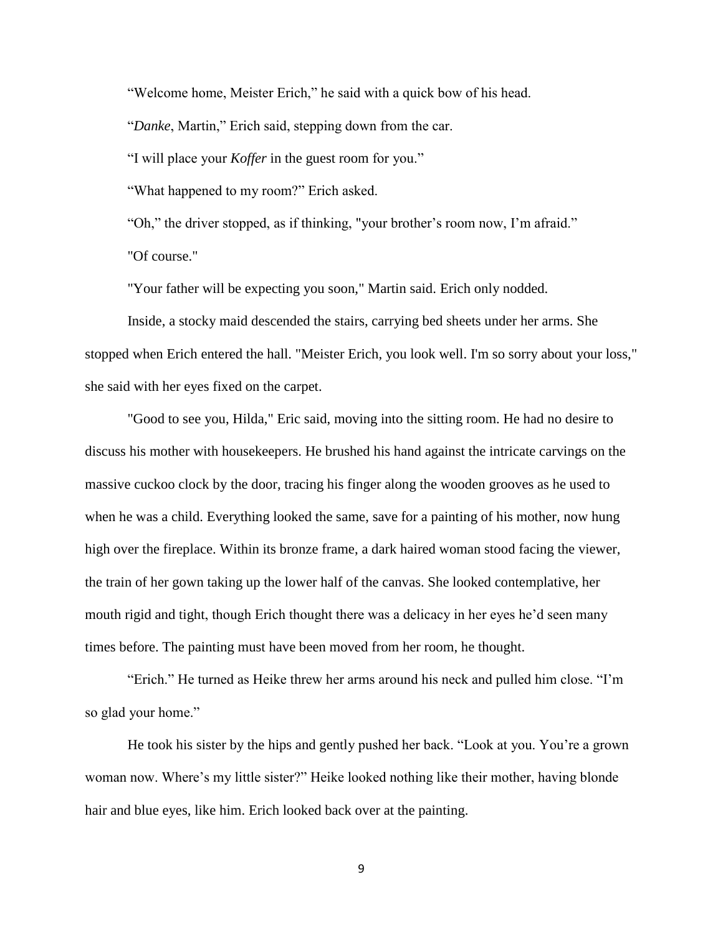"Welcome home, Meister Erich," he said with a quick bow of his head.

"*Danke*, Martin," Erich said, stepping down from the car.

"I will place your *Koffer* in the guest room for you."

"What happened to my room?" Erich asked.

"Oh," the driver stopped, as if thinking, "your brother's room now, I'm afraid." "Of course."

"Your father will be expecting you soon," Martin said. Erich only nodded.

Inside, a stocky maid descended the stairs, carrying bed sheets under her arms. She stopped when Erich entered the hall. "Meister Erich, you look well. I'm so sorry about your loss," she said with her eyes fixed on the carpet.

"Good to see you, Hilda," Eric said, moving into the sitting room. He had no desire to discuss his mother with housekeepers. He brushed his hand against the intricate carvings on the massive cuckoo clock by the door, tracing his finger along the wooden grooves as he used to when he was a child. Everything looked the same, save for a painting of his mother, now hung high over the fireplace. Within its bronze frame, a dark haired woman stood facing the viewer, the train of her gown taking up the lower half of the canvas. She looked contemplative, her mouth rigid and tight, though Erich thought there was a delicacy in her eyes he'd seen many times before. The painting must have been moved from her room, he thought.

"Erich." He turned as Heike threw her arms around his neck and pulled him close. "I'm so glad your home."

He took his sister by the hips and gently pushed her back. "Look at you. You're a grown woman now. Where's my little sister?" Heike looked nothing like their mother, having blonde hair and blue eyes, like him. Erich looked back over at the painting.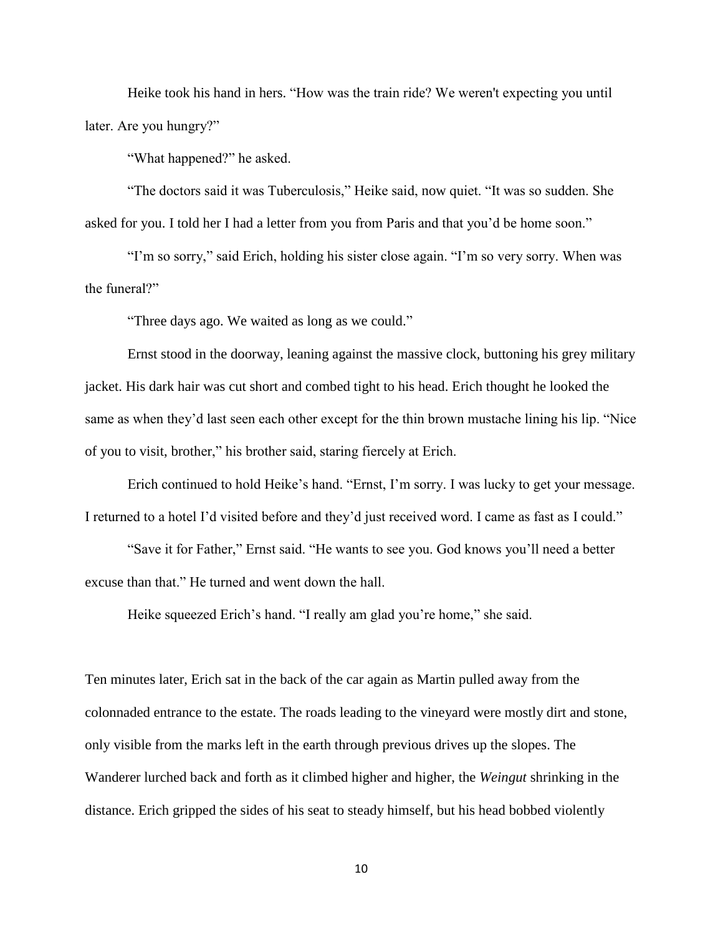Heike took his hand in hers. "How was the train ride? We weren't expecting you until later. Are you hungry?"

"What happened?" he asked.

"The doctors said it was Tuberculosis," Heike said, now quiet. "It was so sudden. She asked for you. I told her I had a letter from you from Paris and that you'd be home soon."

"I'm so sorry," said Erich, holding his sister close again. "I'm so very sorry. When was the funeral?"

"Three days ago. We waited as long as we could."

Ernst stood in the doorway, leaning against the massive clock, buttoning his grey military jacket. His dark hair was cut short and combed tight to his head. Erich thought he looked the same as when they'd last seen each other except for the thin brown mustache lining his lip. "Nice of you to visit, brother," his brother said, staring fiercely at Erich.

Erich continued to hold Heike's hand. "Ernst, I'm sorry. I was lucky to get your message. I returned to a hotel I'd visited before and they'd just received word. I came as fast as I could."

"Save it for Father," Ernst said. "He wants to see you. God knows you'll need a better excuse than that." He turned and went down the hall.

Heike squeezed Erich's hand. "I really am glad you're home," she said.

Ten minutes later, Erich sat in the back of the car again as Martin pulled away from the colonnaded entrance to the estate. The roads leading to the vineyard were mostly dirt and stone, only visible from the marks left in the earth through previous drives up the slopes. The Wanderer lurched back and forth as it climbed higher and higher, the *Weingut* shrinking in the distance. Erich gripped the sides of his seat to steady himself, but his head bobbed violently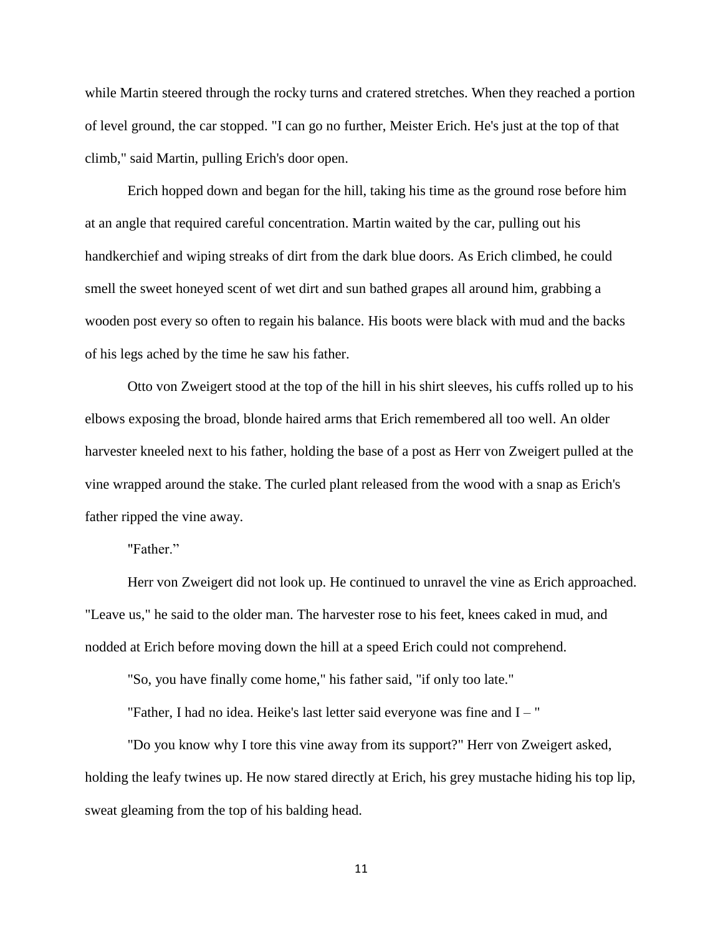while Martin steered through the rocky turns and cratered stretches. When they reached a portion of level ground, the car stopped. "I can go no further, Meister Erich. He's just at the top of that climb," said Martin, pulling Erich's door open.

Erich hopped down and began for the hill, taking his time as the ground rose before him at an angle that required careful concentration. Martin waited by the car, pulling out his handkerchief and wiping streaks of dirt from the dark blue doors. As Erich climbed, he could smell the sweet honeyed scent of wet dirt and sun bathed grapes all around him, grabbing a wooden post every so often to regain his balance. His boots were black with mud and the backs of his legs ached by the time he saw his father.

Otto von Zweigert stood at the top of the hill in his shirt sleeves, his cuffs rolled up to his elbows exposing the broad, blonde haired arms that Erich remembered all too well. An older harvester kneeled next to his father, holding the base of a post as Herr von Zweigert pulled at the vine wrapped around the stake. The curled plant released from the wood with a snap as Erich's father ripped the vine away.

"Father."

Herr von Zweigert did not look up. He continued to unravel the vine as Erich approached. "Leave us," he said to the older man. The harvester rose to his feet, knees caked in mud, and nodded at Erich before moving down the hill at a speed Erich could not comprehend.

"So, you have finally come home," his father said, "if only too late."

"Father, I had no idea. Heike's last letter said everyone was fine and I – "

"Do you know why I tore this vine away from its support?" Herr von Zweigert asked, holding the leafy twines up. He now stared directly at Erich, his grey mustache hiding his top lip, sweat gleaming from the top of his balding head.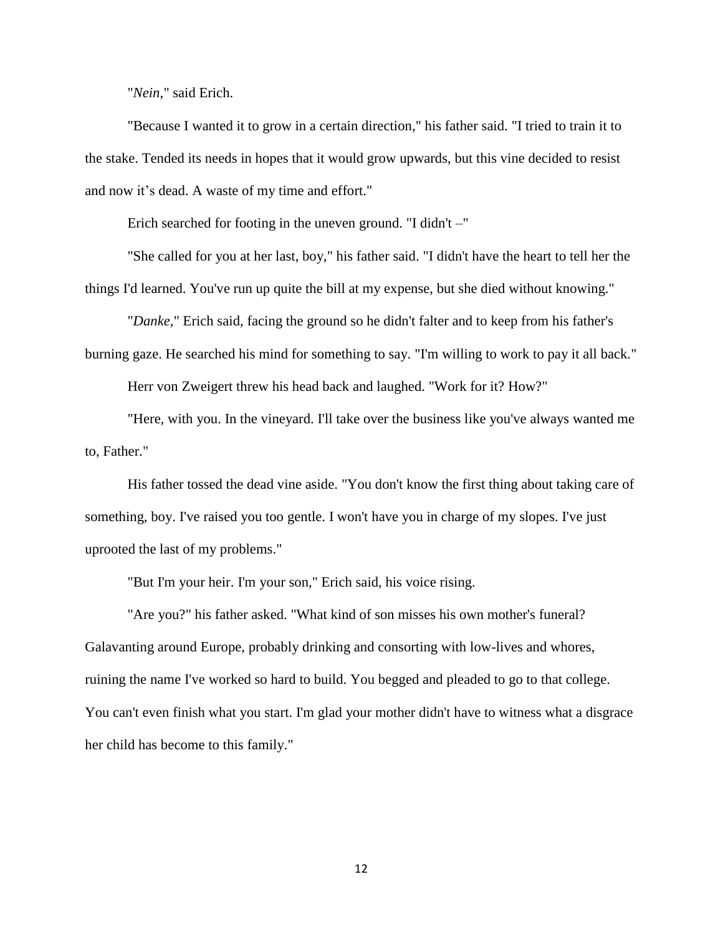"*Nein*," said Erich.

"Because I wanted it to grow in a certain direction," his father said. "I tried to train it to the stake. Tended its needs in hopes that it would grow upwards, but this vine decided to resist and now it's dead. A waste of my time and effort."

Erich searched for footing in the uneven ground. "I didn't –"

"She called for you at her last, boy," his father said. "I didn't have the heart to tell her the things I'd learned. You've run up quite the bill at my expense, but she died without knowing."

"*Danke*," Erich said, facing the ground so he didn't falter and to keep from his father's burning gaze. He searched his mind for something to say. "I'm willing to work to pay it all back."

Herr von Zweigert threw his head back and laughed. "Work for it? How?"

"Here, with you. In the vineyard. I'll take over the business like you've always wanted me to, Father."

His father tossed the dead vine aside. "You don't know the first thing about taking care of something, boy. I've raised you too gentle. I won't have you in charge of my slopes. I've just uprooted the last of my problems."

"But I'm your heir. I'm your son," Erich said, his voice rising.

"Are you?" his father asked. "What kind of son misses his own mother's funeral? Galavanting around Europe, probably drinking and consorting with low-lives and whores, ruining the name I've worked so hard to build. You begged and pleaded to go to that college. You can't even finish what you start. I'm glad your mother didn't have to witness what a disgrace her child has become to this family."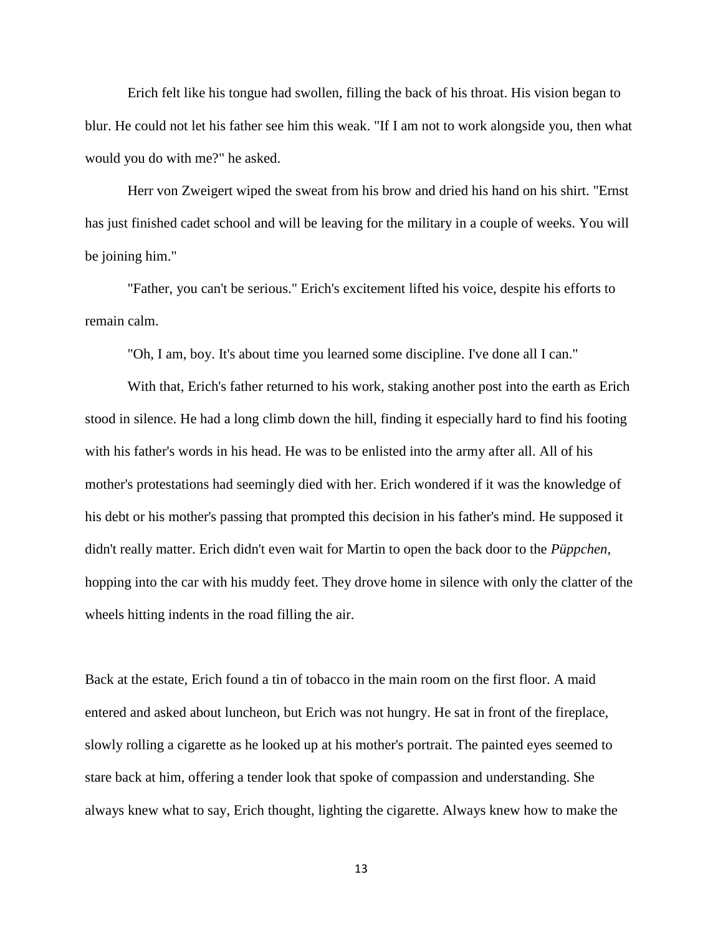Erich felt like his tongue had swollen, filling the back of his throat. His vision began to blur. He could not let his father see him this weak. "If I am not to work alongside you, then what would you do with me?" he asked.

Herr von Zweigert wiped the sweat from his brow and dried his hand on his shirt. "Ernst has just finished cadet school and will be leaving for the military in a couple of weeks. You will be joining him."

"Father, you can't be serious." Erich's excitement lifted his voice, despite his efforts to remain calm.

"Oh, I am, boy. It's about time you learned some discipline. I've done all I can."

With that, Erich's father returned to his work, staking another post into the earth as Erich stood in silence. He had a long climb down the hill, finding it especially hard to find his footing with his father's words in his head. He was to be enlisted into the army after all. All of his mother's protestations had seemingly died with her. Erich wondered if it was the knowledge of his debt or his mother's passing that prompted this decision in his father's mind. He supposed it didn't really matter. Erich didn't even wait for Martin to open the back door to the *Püppchen*, hopping into the car with his muddy feet. They drove home in silence with only the clatter of the wheels hitting indents in the road filling the air.

Back at the estate, Erich found a tin of tobacco in the main room on the first floor. A maid entered and asked about luncheon, but Erich was not hungry. He sat in front of the fireplace, slowly rolling a cigarette as he looked up at his mother's portrait. The painted eyes seemed to stare back at him, offering a tender look that spoke of compassion and understanding. She always knew what to say, Erich thought, lighting the cigarette. Always knew how to make the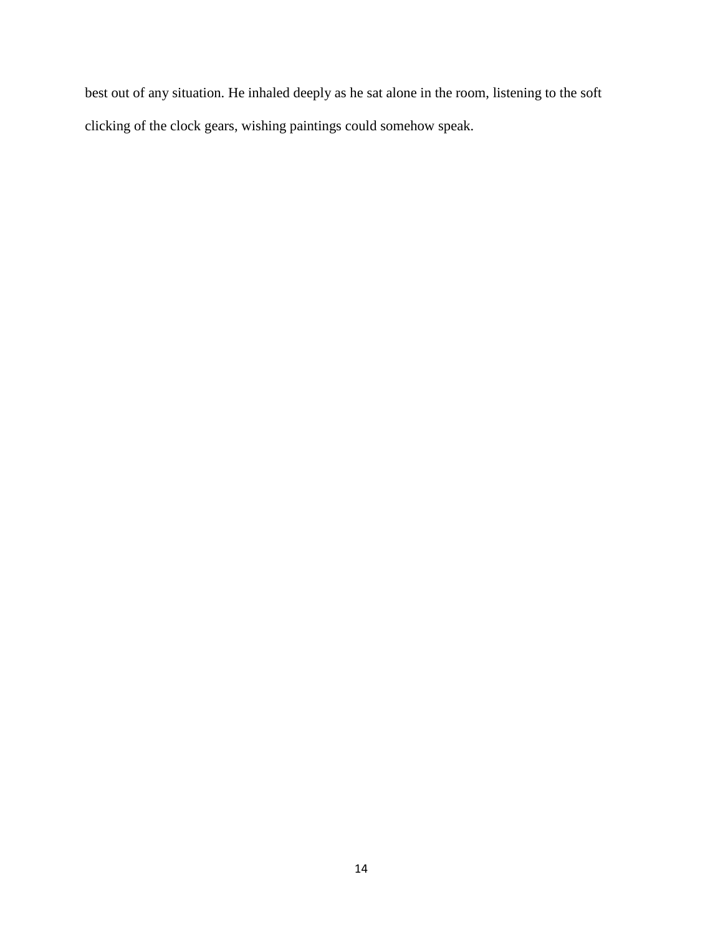best out of any situation. He inhaled deeply as he sat alone in the room, listening to the soft clicking of the clock gears, wishing paintings could somehow speak.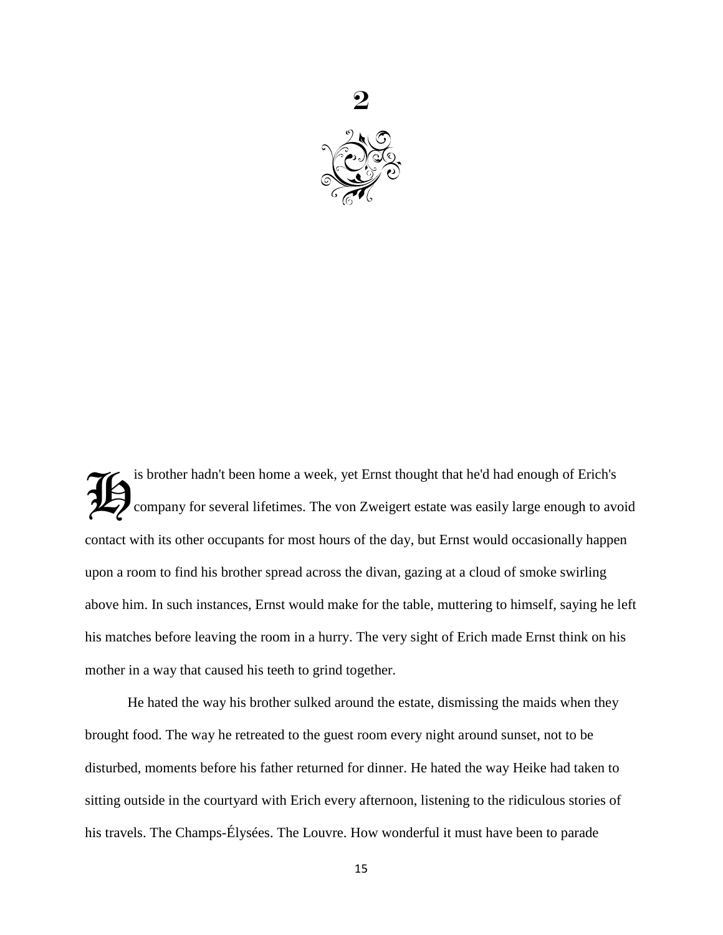

is brother hadn't been home a week, yet Ernst thought that he'd had enough of Erich's company for several lifetimes. The von Zweigert estate was easily large enough to avoid contact with its other occupants for most hours of the day, but Ernst would occasionally happen upon a room to find his brother spread across the divan, gazing at a cloud of smoke swirling above him. In such instances, Ernst would make for the table, muttering to himself, saying he left his matches before leaving the room in a hurry. The very sight of Erich made Ernst think on his mother in a way that caused his teeth to grind together.  $\widetilde{\mathcal{H}}$ 

He hated the way his brother sulked around the estate, dismissing the maids when they brought food. The way he retreated to the guest room every night around sunset, not to be disturbed, moments before his father returned for dinner. He hated the way Heike had taken to sitting outside in the courtyard with Erich every afternoon, listening to the ridiculous stories of his travels. The Champs-Élysées. The Louvre. How wonderful it must have been to parade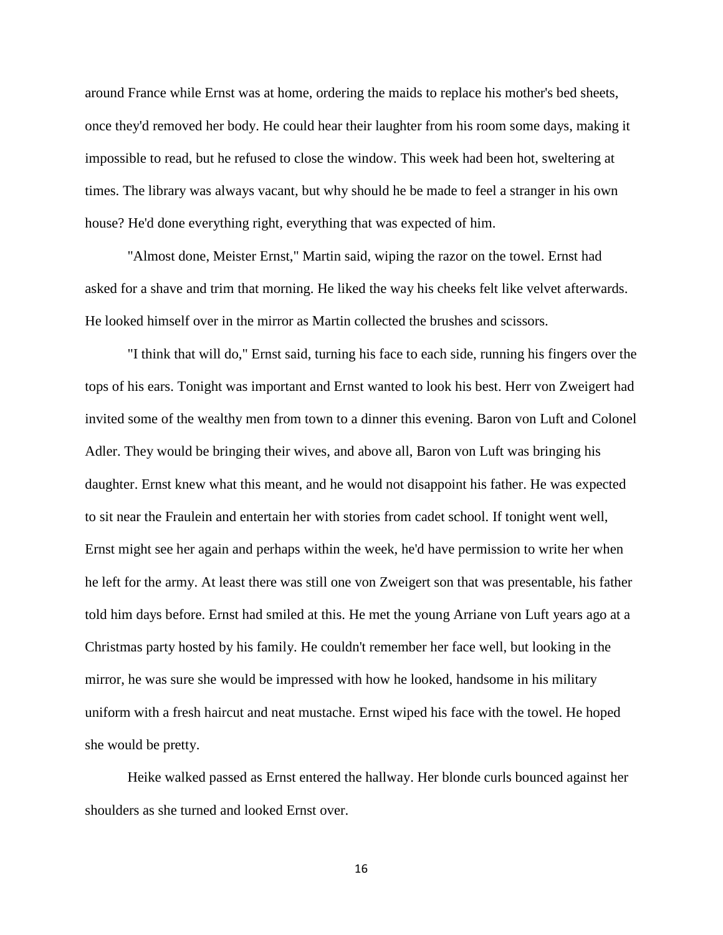around France while Ernst was at home, ordering the maids to replace his mother's bed sheets, once they'd removed her body. He could hear their laughter from his room some days, making it impossible to read, but he refused to close the window. This week had been hot, sweltering at times. The library was always vacant, but why should he be made to feel a stranger in his own house? He'd done everything right, everything that was expected of him.

"Almost done, Meister Ernst," Martin said, wiping the razor on the towel. Ernst had asked for a shave and trim that morning. He liked the way his cheeks felt like velvet afterwards. He looked himself over in the mirror as Martin collected the brushes and scissors.

"I think that will do," Ernst said, turning his face to each side, running his fingers over the tops of his ears. Tonight was important and Ernst wanted to look his best. Herr von Zweigert had invited some of the wealthy men from town to a dinner this evening. Baron von Luft and Colonel Adler. They would be bringing their wives, and above all, Baron von Luft was bringing his daughter. Ernst knew what this meant, and he would not disappoint his father. He was expected to sit near the Fraulein and entertain her with stories from cadet school. If tonight went well, Ernst might see her again and perhaps within the week, he'd have permission to write her when he left for the army. At least there was still one von Zweigert son that was presentable, his father told him days before. Ernst had smiled at this. He met the young Arriane von Luft years ago at a Christmas party hosted by his family. He couldn't remember her face well, but looking in the mirror, he was sure she would be impressed with how he looked, handsome in his military uniform with a fresh haircut and neat mustache. Ernst wiped his face with the towel. He hoped she would be pretty.

Heike walked passed as Ernst entered the hallway. Her blonde curls bounced against her shoulders as she turned and looked Ernst over.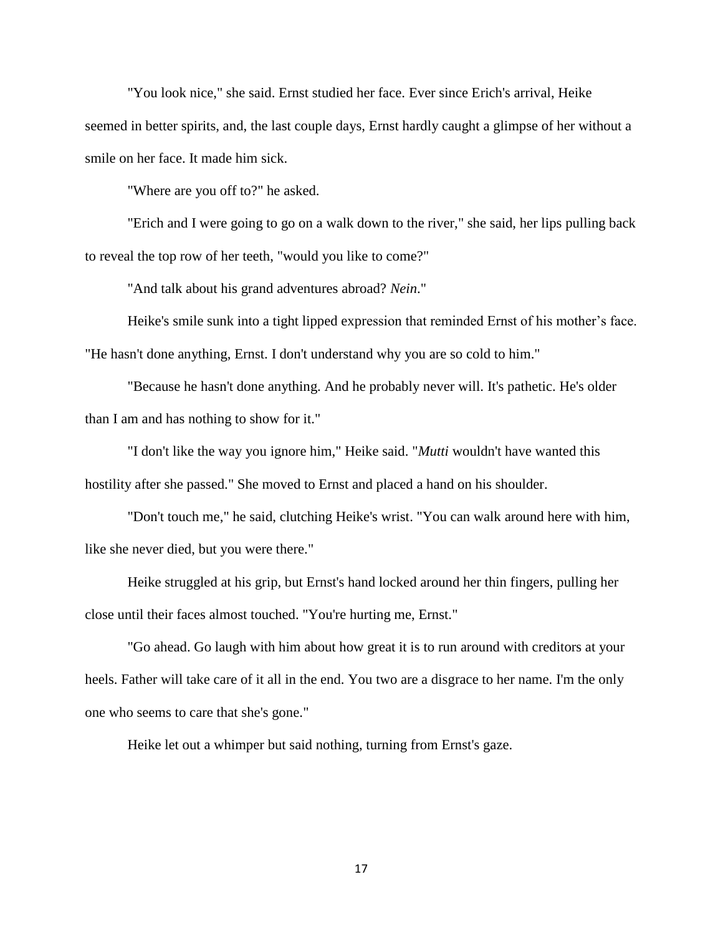"You look nice," she said. Ernst studied her face. Ever since Erich's arrival, Heike seemed in better spirits, and, the last couple days, Ernst hardly caught a glimpse of her without a smile on her face. It made him sick.

"Where are you off to?" he asked.

"Erich and I were going to go on a walk down to the river," she said, her lips pulling back to reveal the top row of her teeth, "would you like to come?"

"And talk about his grand adventures abroad? *Nein*."

Heike's smile sunk into a tight lipped expression that reminded Ernst of his mother's face. "He hasn't done anything, Ernst. I don't understand why you are so cold to him."

"Because he hasn't done anything. And he probably never will. It's pathetic. He's older than I am and has nothing to show for it."

"I don't like the way you ignore him," Heike said. "*Mutti* wouldn't have wanted this hostility after she passed." She moved to Ernst and placed a hand on his shoulder.

"Don't touch me," he said, clutching Heike's wrist. "You can walk around here with him, like she never died, but you were there."

Heike struggled at his grip, but Ernst's hand locked around her thin fingers, pulling her close until their faces almost touched. "You're hurting me, Ernst."

"Go ahead. Go laugh with him about how great it is to run around with creditors at your heels. Father will take care of it all in the end. You two are a disgrace to her name. I'm the only one who seems to care that she's gone."

Heike let out a whimper but said nothing, turning from Ernst's gaze.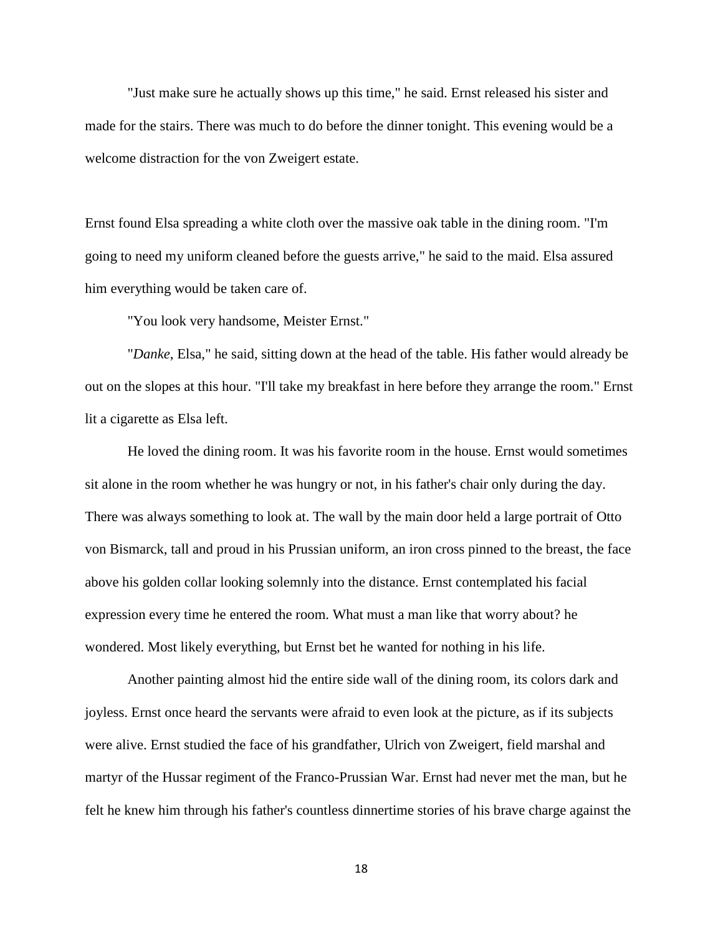"Just make sure he actually shows up this time," he said. Ernst released his sister and made for the stairs. There was much to do before the dinner tonight. This evening would be a welcome distraction for the von Zweigert estate.

Ernst found Elsa spreading a white cloth over the massive oak table in the dining room. "I'm going to need my uniform cleaned before the guests arrive," he said to the maid. Elsa assured him everything would be taken care of.

"You look very handsome, Meister Ernst."

"*Danke*, Elsa," he said, sitting down at the head of the table. His father would already be out on the slopes at this hour. "I'll take my breakfast in here before they arrange the room." Ernst lit a cigarette as Elsa left.

He loved the dining room. It was his favorite room in the house. Ernst would sometimes sit alone in the room whether he was hungry or not, in his father's chair only during the day. There was always something to look at. The wall by the main door held a large portrait of Otto von Bismarck, tall and proud in his Prussian uniform, an iron cross pinned to the breast, the face above his golden collar looking solemnly into the distance. Ernst contemplated his facial expression every time he entered the room. What must a man like that worry about? he wondered. Most likely everything, but Ernst bet he wanted for nothing in his life.

Another painting almost hid the entire side wall of the dining room, its colors dark and joyless. Ernst once heard the servants were afraid to even look at the picture, as if its subjects were alive. Ernst studied the face of his grandfather, Ulrich von Zweigert, field marshal and martyr of the Hussar regiment of the Franco-Prussian War. Ernst had never met the man, but he felt he knew him through his father's countless dinnertime stories of his brave charge against the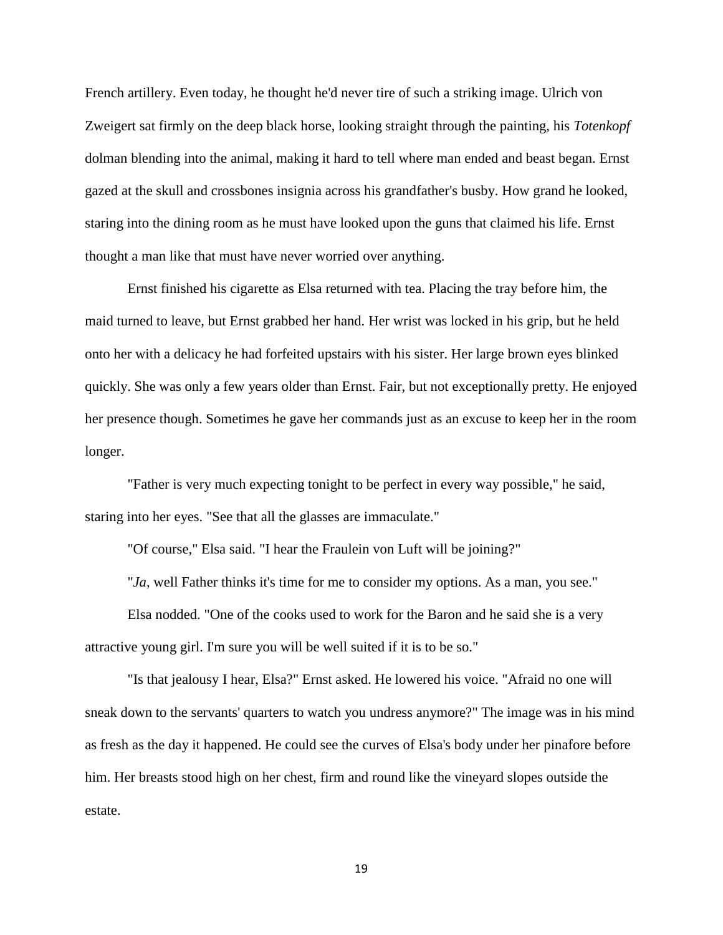French artillery. Even today, he thought he'd never tire of such a striking image. Ulrich von Zweigert sat firmly on the deep black horse, looking straight through the painting, his *Totenkopf* dolman blending into the animal, making it hard to tell where man ended and beast began. Ernst gazed at the skull and crossbones insignia across his grandfather's busby. How grand he looked, staring into the dining room as he must have looked upon the guns that claimed his life. Ernst thought a man like that must have never worried over anything.

Ernst finished his cigarette as Elsa returned with tea. Placing the tray before him, the maid turned to leave, but Ernst grabbed her hand. Her wrist was locked in his grip, but he held onto her with a delicacy he had forfeited upstairs with his sister. Her large brown eyes blinked quickly. She was only a few years older than Ernst. Fair, but not exceptionally pretty. He enjoyed her presence though. Sometimes he gave her commands just as an excuse to keep her in the room longer.

"Father is very much expecting tonight to be perfect in every way possible," he said, staring into her eyes. "See that all the glasses are immaculate."

"Of course," Elsa said. "I hear the Fraulein von Luft will be joining?"

"*Ja*, well Father thinks it's time for me to consider my options. As a man, you see."

Elsa nodded. "One of the cooks used to work for the Baron and he said she is a very attractive young girl. I'm sure you will be well suited if it is to be so."

"Is that jealousy I hear, Elsa?" Ernst asked. He lowered his voice. "Afraid no one will sneak down to the servants' quarters to watch you undress anymore?" The image was in his mind as fresh as the day it happened. He could see the curves of Elsa's body under her pinafore before him. Her breasts stood high on her chest, firm and round like the vineyard slopes outside the estate.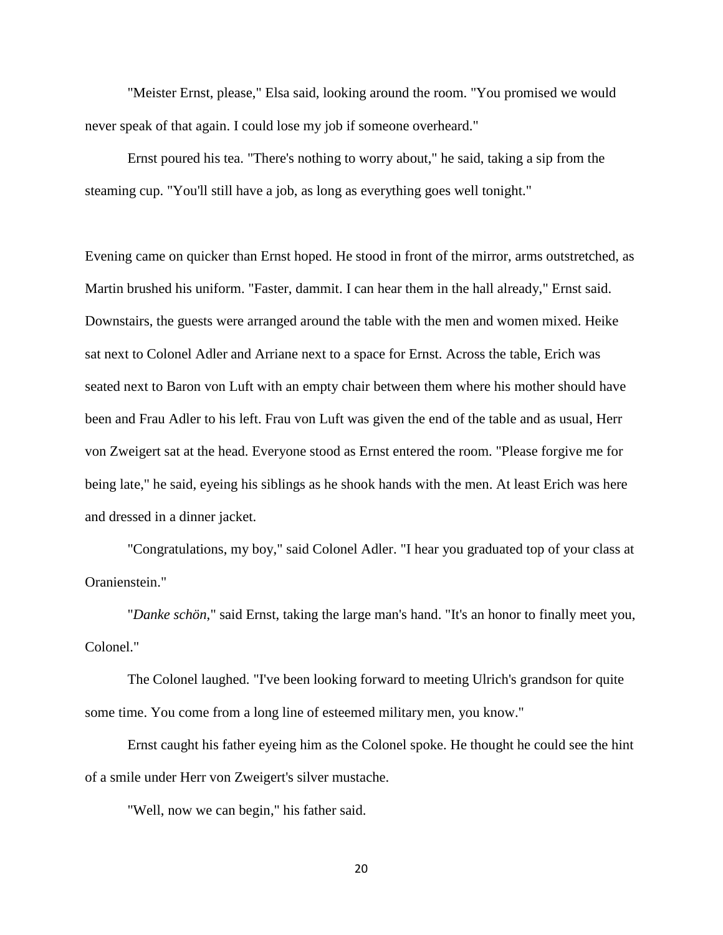"Meister Ernst, please," Elsa said, looking around the room. "You promised we would never speak of that again. I could lose my job if someone overheard."

Ernst poured his tea. "There's nothing to worry about," he said, taking a sip from the steaming cup. "You'll still have a job, as long as everything goes well tonight."

Evening came on quicker than Ernst hoped. He stood in front of the mirror, arms outstretched, as Martin brushed his uniform. "Faster, dammit. I can hear them in the hall already," Ernst said. Downstairs, the guests were arranged around the table with the men and women mixed. Heike sat next to Colonel Adler and Arriane next to a space for Ernst. Across the table, Erich was seated next to Baron von Luft with an empty chair between them where his mother should have been and Frau Adler to his left. Frau von Luft was given the end of the table and as usual, Herr von Zweigert sat at the head. Everyone stood as Ernst entered the room. "Please forgive me for being late," he said, eyeing his siblings as he shook hands with the men. At least Erich was here and dressed in a dinner jacket.

"Congratulations, my boy," said Colonel Adler. "I hear you graduated top of your class at Oranienstein."

"*Danke schön*," said Ernst, taking the large man's hand. "It's an honor to finally meet you, Colonel."

The Colonel laughed. "I've been looking forward to meeting Ulrich's grandson for quite some time. You come from a long line of esteemed military men, you know."

Ernst caught his father eyeing him as the Colonel spoke. He thought he could see the hint of a smile under Herr von Zweigert's silver mustache.

"Well, now we can begin," his father said.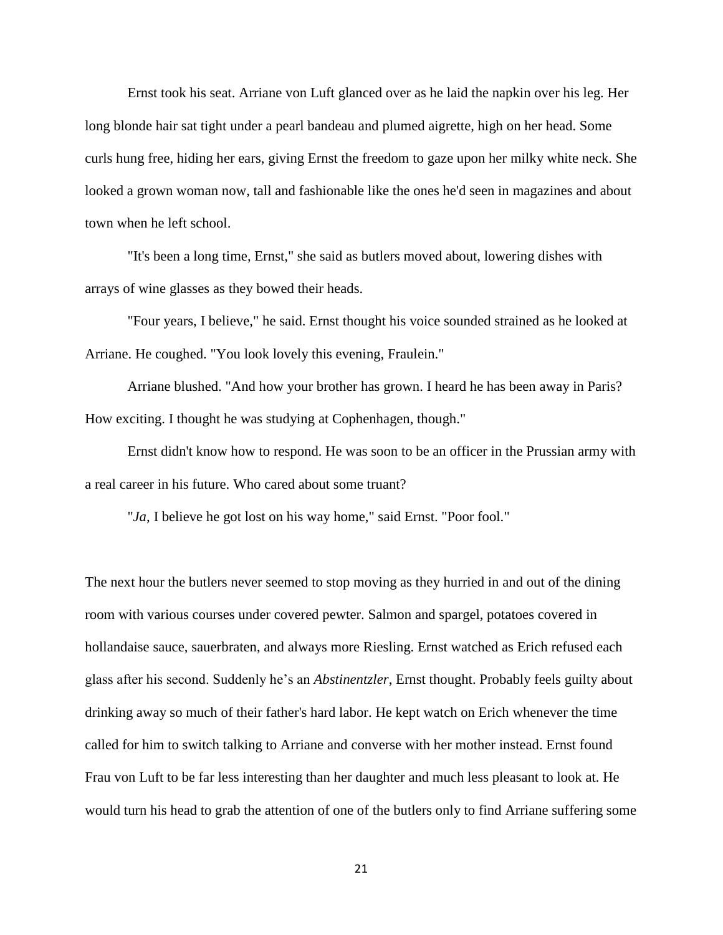Ernst took his seat. Arriane von Luft glanced over as he laid the napkin over his leg. Her long blonde hair sat tight under a pearl bandeau and plumed aigrette, high on her head. Some curls hung free, hiding her ears, giving Ernst the freedom to gaze upon her milky white neck. She looked a grown woman now, tall and fashionable like the ones he'd seen in magazines and about town when he left school.

"It's been a long time, Ernst," she said as butlers moved about, lowering dishes with arrays of wine glasses as they bowed their heads.

"Four years, I believe," he said. Ernst thought his voice sounded strained as he looked at Arriane. He coughed. "You look lovely this evening, Fraulein."

Arriane blushed. "And how your brother has grown. I heard he has been away in Paris? How exciting. I thought he was studying at Cophenhagen, though."

Ernst didn't know how to respond. He was soon to be an officer in the Prussian army with a real career in his future. Who cared about some truant?

"*Ja*, I believe he got lost on his way home," said Ernst. "Poor fool."

The next hour the butlers never seemed to stop moving as they hurried in and out of the dining room with various courses under covered pewter. Salmon and spargel, potatoes covered in hollandaise sauce, sauerbraten, and always more Riesling. Ernst watched as Erich refused each glass after his second. Suddenly he's an *Abstinentzler*, Ernst thought. Probably feels guilty about drinking away so much of their father's hard labor. He kept watch on Erich whenever the time called for him to switch talking to Arriane and converse with her mother instead. Ernst found Frau von Luft to be far less interesting than her daughter and much less pleasant to look at. He would turn his head to grab the attention of one of the butlers only to find Arriane suffering some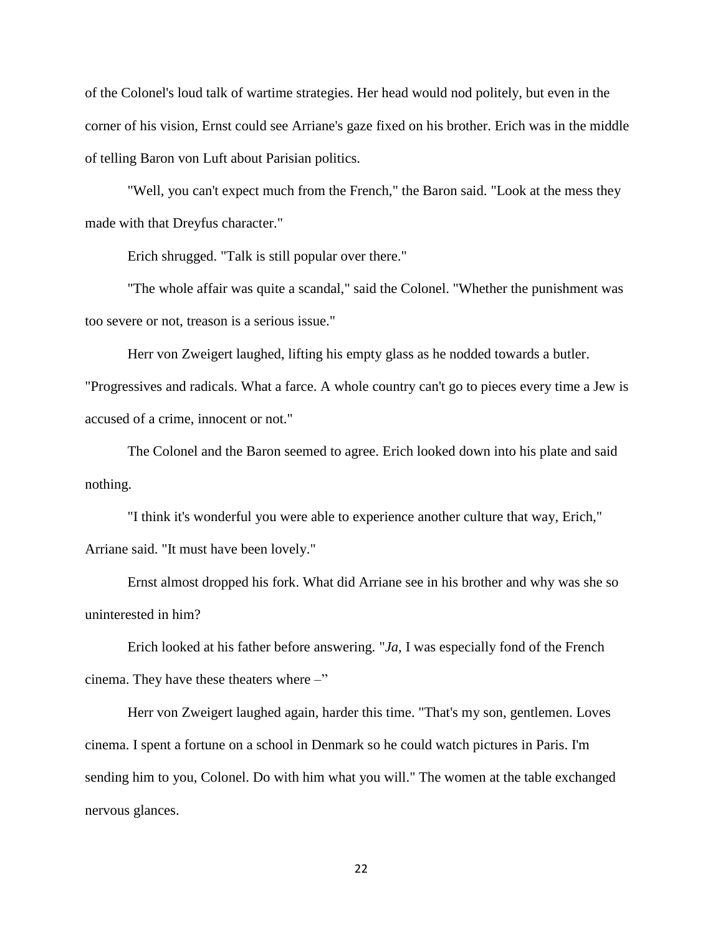of the Colonel's loud talk of wartime strategies. Her head would nod politely, but even in the corner of his vision, Ernst could see Arriane's gaze fixed on his brother. Erich was in the middle of telling Baron von Luft about Parisian politics.

"Well, you can't expect much from the French," the Baron said. "Look at the mess they made with that Dreyfus character."

Erich shrugged. "Talk is still popular over there."

"The whole affair was quite a scandal," said the Colonel. "Whether the punishment was too severe or not, treason is a serious issue."

Herr von Zweigert laughed, lifting his empty glass as he nodded towards a butler.

"Progressives and radicals. What a farce. A whole country can't go to pieces every time a Jew is accused of a crime, innocent or not."

The Colonel and the Baron seemed to agree. Erich looked down into his plate and said nothing.

"I think it's wonderful you were able to experience another culture that way, Erich," Arriane said. "It must have been lovely."

Ernst almost dropped his fork. What did Arriane see in his brother and why was she so uninterested in him?

Erich looked at his father before answering. "*Ja*, I was especially fond of the French cinema. They have these theaters where –"

Herr von Zweigert laughed again, harder this time. "That's my son, gentlemen. Loves cinema. I spent a fortune on a school in Denmark so he could watch pictures in Paris. I'm sending him to you, Colonel. Do with him what you will." The women at the table exchanged nervous glances.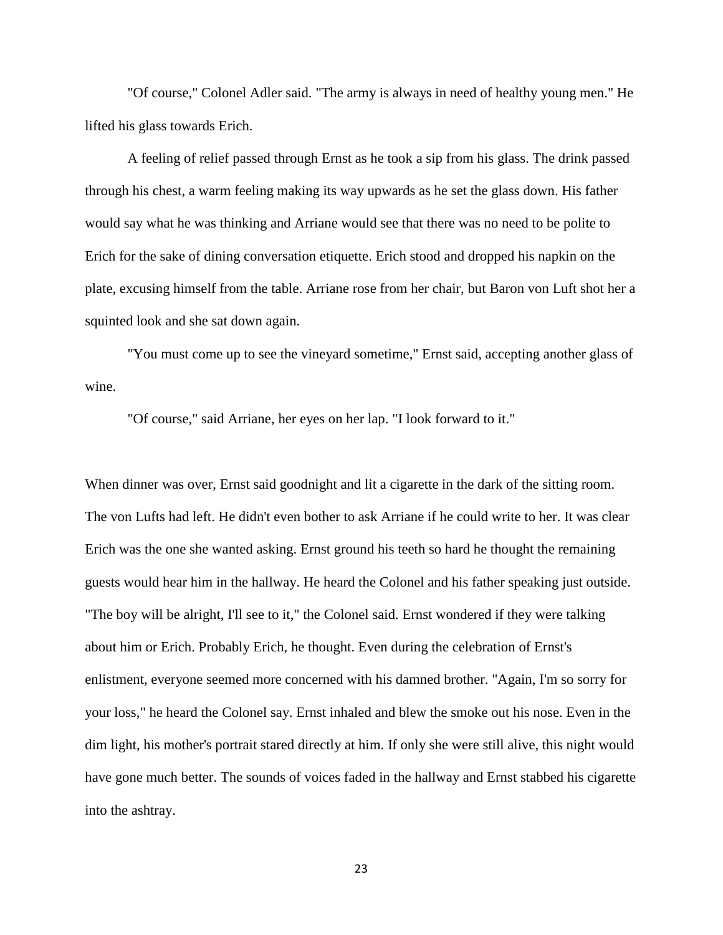"Of course," Colonel Adler said. "The army is always in need of healthy young men." He lifted his glass towards Erich.

A feeling of relief passed through Ernst as he took a sip from his glass. The drink passed through his chest, a warm feeling making its way upwards as he set the glass down. His father would say what he was thinking and Arriane would see that there was no need to be polite to Erich for the sake of dining conversation etiquette. Erich stood and dropped his napkin on the plate, excusing himself from the table. Arriane rose from her chair, but Baron von Luft shot her a squinted look and she sat down again.

"You must come up to see the vineyard sometime," Ernst said, accepting another glass of wine.

"Of course," said Arriane, her eyes on her lap. "I look forward to it."

When dinner was over, Ernst said goodnight and lit a cigarette in the dark of the sitting room. The von Lufts had left. He didn't even bother to ask Arriane if he could write to her. It was clear Erich was the one she wanted asking. Ernst ground his teeth so hard he thought the remaining guests would hear him in the hallway. He heard the Colonel and his father speaking just outside. "The boy will be alright, I'll see to it," the Colonel said. Ernst wondered if they were talking about him or Erich. Probably Erich, he thought. Even during the celebration of Ernst's enlistment, everyone seemed more concerned with his damned brother. "Again, I'm so sorry for your loss," he heard the Colonel say. Ernst inhaled and blew the smoke out his nose. Even in the dim light, his mother's portrait stared directly at him. If only she were still alive, this night would have gone much better. The sounds of voices faded in the hallway and Ernst stabbed his cigarette into the ashtray.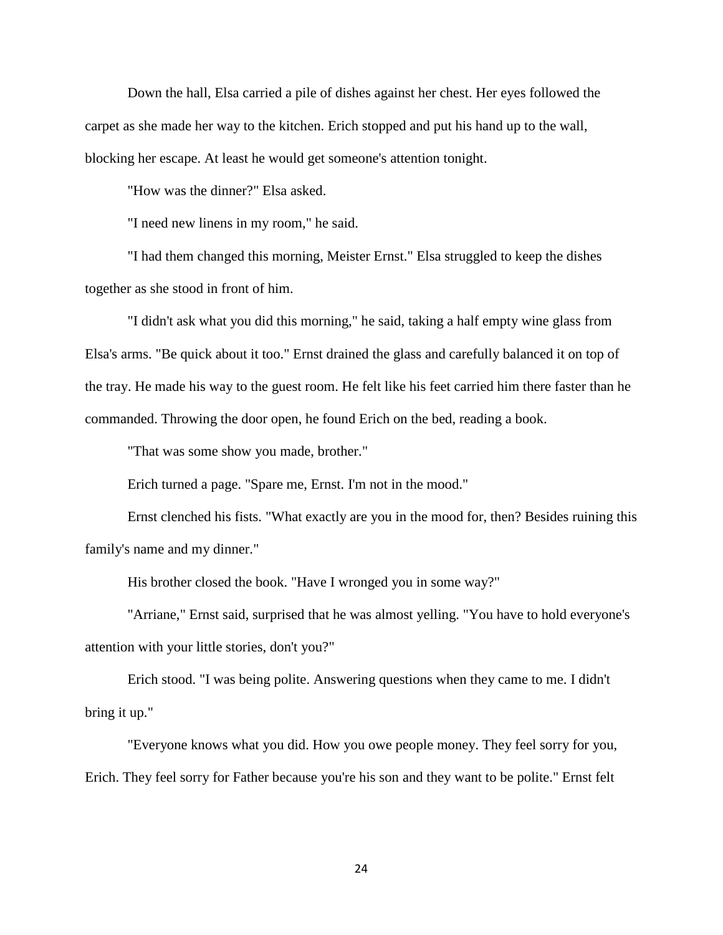Down the hall, Elsa carried a pile of dishes against her chest. Her eyes followed the carpet as she made her way to the kitchen. Erich stopped and put his hand up to the wall, blocking her escape. At least he would get someone's attention tonight.

"How was the dinner?" Elsa asked.

"I need new linens in my room," he said.

"I had them changed this morning, Meister Ernst." Elsa struggled to keep the dishes together as she stood in front of him.

"I didn't ask what you did this morning," he said, taking a half empty wine glass from Elsa's arms. "Be quick about it too." Ernst drained the glass and carefully balanced it on top of the tray. He made his way to the guest room. He felt like his feet carried him there faster than he commanded. Throwing the door open, he found Erich on the bed, reading a book.

"That was some show you made, brother."

Erich turned a page. "Spare me, Ernst. I'm not in the mood."

Ernst clenched his fists. "What exactly are you in the mood for, then? Besides ruining this family's name and my dinner."

His brother closed the book. "Have I wronged you in some way?"

"Arriane," Ernst said, surprised that he was almost yelling. "You have to hold everyone's attention with your little stories, don't you?"

Erich stood. "I was being polite. Answering questions when they came to me. I didn't bring it up."

"Everyone knows what you did. How you owe people money. They feel sorry for you, Erich. They feel sorry for Father because you're his son and they want to be polite." Ernst felt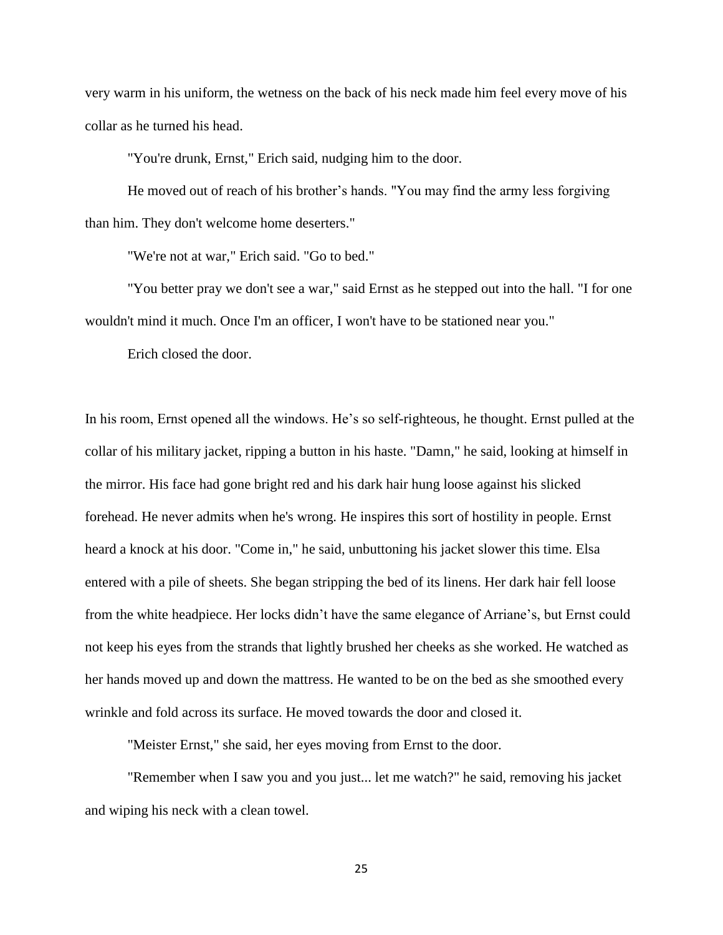very warm in his uniform, the wetness on the back of his neck made him feel every move of his collar as he turned his head.

"You're drunk, Ernst," Erich said, nudging him to the door.

He moved out of reach of his brother's hands. "You may find the army less forgiving than him. They don't welcome home deserters."

"We're not at war," Erich said. "Go to bed."

"You better pray we don't see a war," said Ernst as he stepped out into the hall. "I for one wouldn't mind it much. Once I'm an officer, I won't have to be stationed near you."

Erich closed the door.

In his room, Ernst opened all the windows. He's so self-righteous, he thought. Ernst pulled at the collar of his military jacket, ripping a button in his haste. "Damn," he said, looking at himself in the mirror. His face had gone bright red and his dark hair hung loose against his slicked forehead. He never admits when he's wrong. He inspires this sort of hostility in people. Ernst heard a knock at his door. "Come in," he said, unbuttoning his jacket slower this time. Elsa entered with a pile of sheets. She began stripping the bed of its linens. Her dark hair fell loose from the white headpiece. Her locks didn't have the same elegance of Arriane's, but Ernst could not keep his eyes from the strands that lightly brushed her cheeks as she worked. He watched as her hands moved up and down the mattress. He wanted to be on the bed as she smoothed every wrinkle and fold across its surface. He moved towards the door and closed it.

"Meister Ernst," she said, her eyes moving from Ernst to the door.

"Remember when I saw you and you just... let me watch?" he said, removing his jacket and wiping his neck with a clean towel.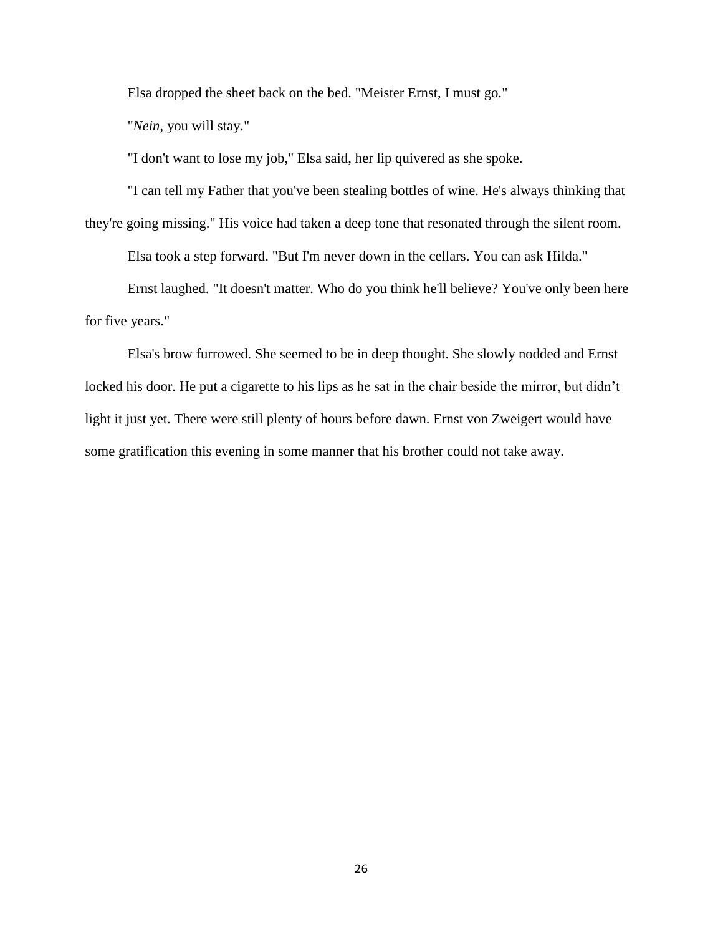Elsa dropped the sheet back on the bed. "Meister Ernst, I must go."

"*Nein*, you will stay."

"I don't want to lose my job," Elsa said, her lip quivered as she spoke.

"I can tell my Father that you've been stealing bottles of wine. He's always thinking that

they're going missing." His voice had taken a deep tone that resonated through the silent room.

Elsa took a step forward. "But I'm never down in the cellars. You can ask Hilda."

Ernst laughed. "It doesn't matter. Who do you think he'll believe? You've only been here for five years."

Elsa's brow furrowed. She seemed to be in deep thought. She slowly nodded and Ernst locked his door. He put a cigarette to his lips as he sat in the chair beside the mirror, but didn't light it just yet. There were still plenty of hours before dawn. Ernst von Zweigert would have some gratification this evening in some manner that his brother could not take away.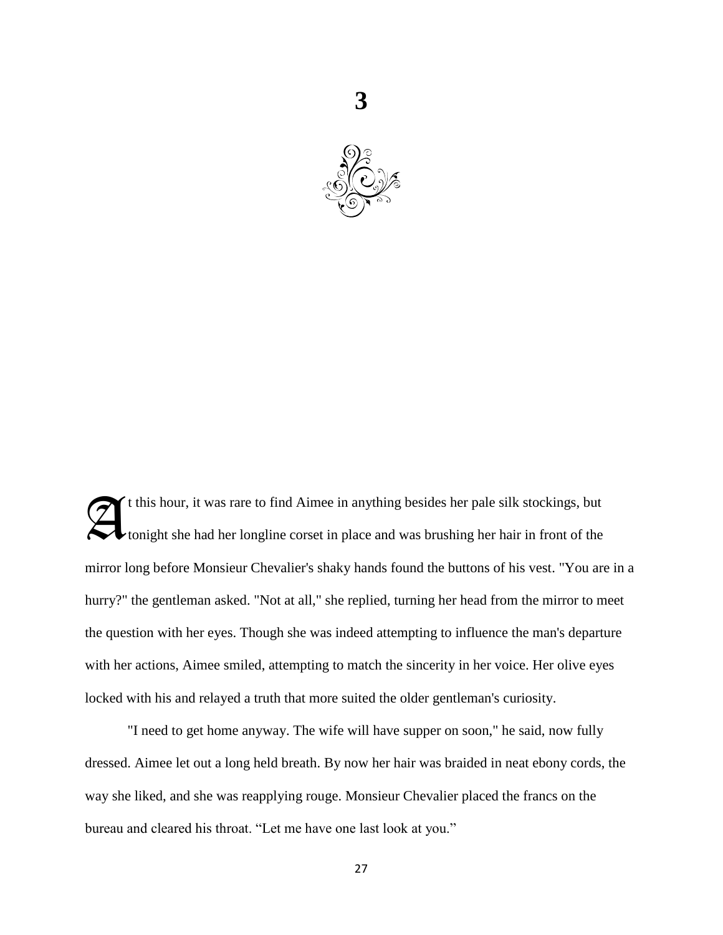

t this hour, it was rare to find Aimee in anything besides her pale silk stockings, but tonight she had her longline corset in place and was brushing her hair in front of the mirror long before Monsieur Chevalier's shaky hands found the buttons of his vest. "You are in a hurry?" the gentleman asked. "Not at all," she replied, turning her head from the mirror to meet the question with her eyes. Though she was indeed attempting to influence the man's departure with her actions, Aimee smiled, attempting to match the sincerity in her voice. Her olive eyes locked with his and relayed a truth that more suited the older gentleman's curiosity. A

"I need to get home anyway. The wife will have supper on soon," he said, now fully dressed. Aimee let out a long held breath. By now her hair was braided in neat ebony cords, the way she liked, and she was reapplying rouge. Monsieur Chevalier placed the francs on the bureau and cleared his throat. "Let me have one last look at you."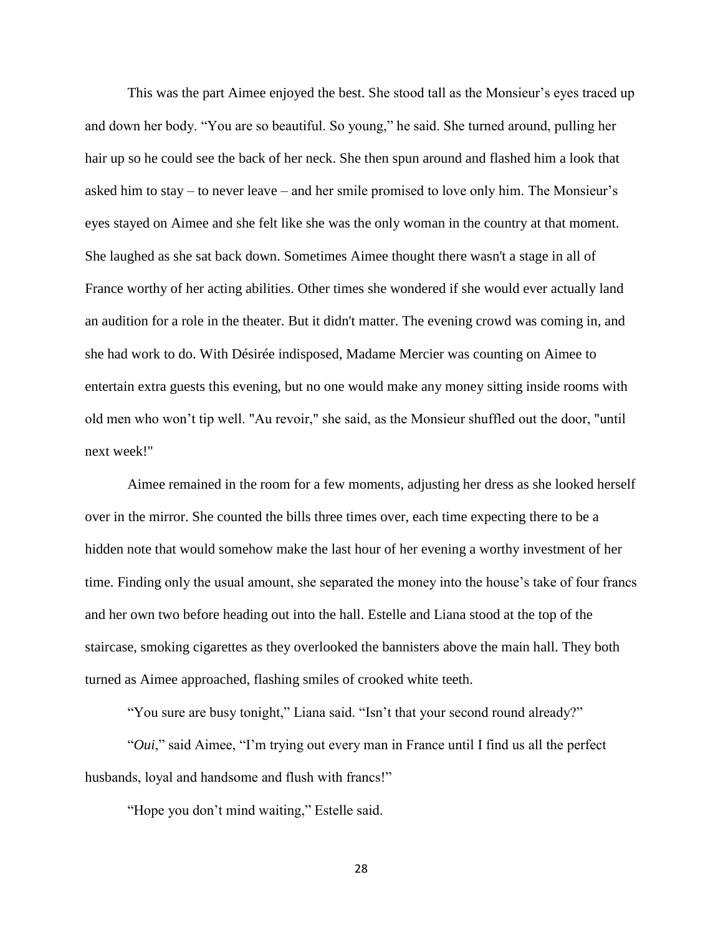This was the part Aimee enjoyed the best. She stood tall as the Monsieur's eyes traced up and down her body. "You are so beautiful. So young," he said. She turned around, pulling her hair up so he could see the back of her neck. She then spun around and flashed him a look that asked him to stay – to never leave – and her smile promised to love only him. The Monsieur's eyes stayed on Aimee and she felt like she was the only woman in the country at that moment. She laughed as she sat back down. Sometimes Aimee thought there wasn't a stage in all of France worthy of her acting abilities. Other times she wondered if she would ever actually land an audition for a role in the theater. But it didn't matter. The evening crowd was coming in, and she had work to do. With Désirée indisposed, Madame Mercier was counting on Aimee to entertain extra guests this evening, but no one would make any money sitting inside rooms with old men who won't tip well. "Au revoir," she said, as the Monsieur shuffled out the door, "until next week!"

Aimee remained in the room for a few moments, adjusting her dress as she looked herself over in the mirror. She counted the bills three times over, each time expecting there to be a hidden note that would somehow make the last hour of her evening a worthy investment of her time. Finding only the usual amount, she separated the money into the house's take of four francs and her own two before heading out into the hall. Estelle and Liana stood at the top of the staircase, smoking cigarettes as they overlooked the bannisters above the main hall. They both turned as Aimee approached, flashing smiles of crooked white teeth.

"You sure are busy tonight," Liana said. "Isn't that your second round already?"

"*Oui*," said Aimee, "I'm trying out every man in France until I find us all the perfect husbands, loyal and handsome and flush with francs!"

"Hope you don't mind waiting," Estelle said.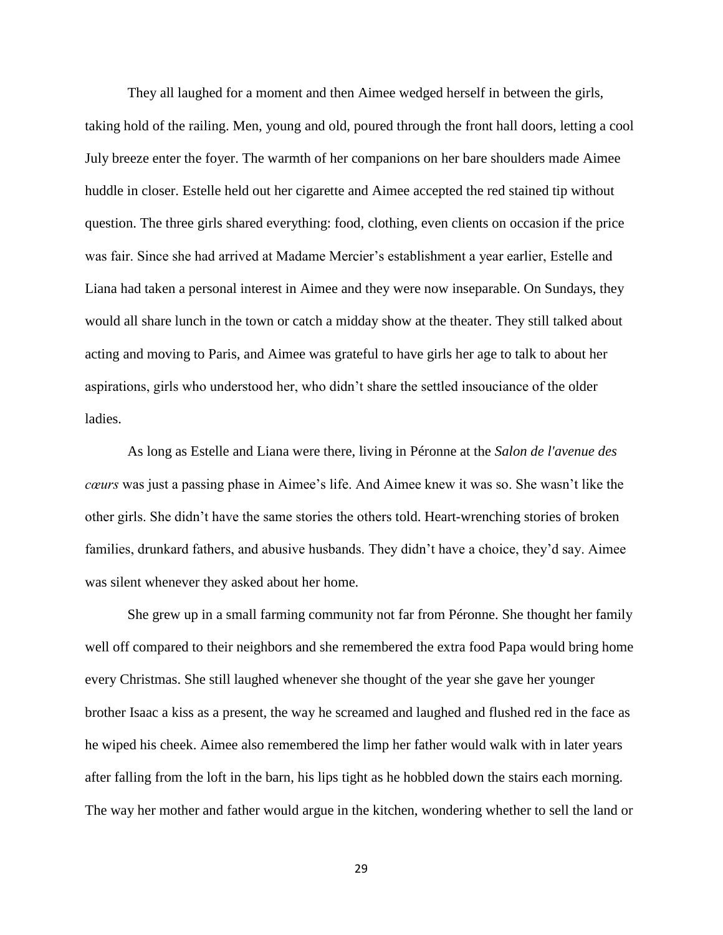They all laughed for a moment and then Aimee wedged herself in between the girls, taking hold of the railing. Men, young and old, poured through the front hall doors, letting a cool July breeze enter the foyer. The warmth of her companions on her bare shoulders made Aimee huddle in closer. Estelle held out her cigarette and Aimee accepted the red stained tip without question. The three girls shared everything: food, clothing, even clients on occasion if the price was fair. Since she had arrived at Madame Mercier's establishment a year earlier, Estelle and Liana had taken a personal interest in Aimee and they were now inseparable. On Sundays, they would all share lunch in the town or catch a midday show at the theater. They still talked about acting and moving to Paris, and Aimee was grateful to have girls her age to talk to about her aspirations, girls who understood her, who didn't share the settled insouciance of the older ladies.

As long as Estelle and Liana were there, living in Péronne at the *Salon de l'avenue des cœurs* was just a passing phase in Aimee's life. And Aimee knew it was so. She wasn't like the other girls. She didn't have the same stories the others told. Heart-wrenching stories of broken families, drunkard fathers, and abusive husbands. They didn't have a choice, they'd say. Aimee was silent whenever they asked about her home.

She grew up in a small farming community not far from Péronne. She thought her family well off compared to their neighbors and she remembered the extra food Papa would bring home every Christmas. She still laughed whenever she thought of the year she gave her younger brother Isaac a kiss as a present, the way he screamed and laughed and flushed red in the face as he wiped his cheek. Aimee also remembered the limp her father would walk with in later years after falling from the loft in the barn, his lips tight as he hobbled down the stairs each morning. The way her mother and father would argue in the kitchen, wondering whether to sell the land or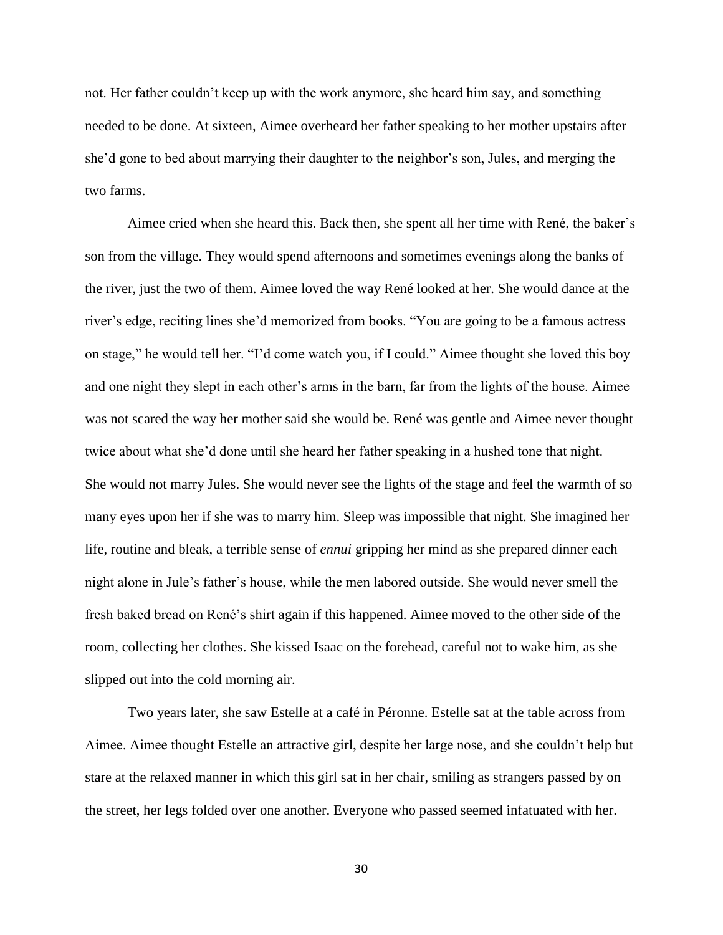not. Her father couldn't keep up with the work anymore, she heard him say, and something needed to be done. At sixteen, Aimee overheard her father speaking to her mother upstairs after she'd gone to bed about marrying their daughter to the neighbor's son, Jules, and merging the two farms.

Aimee cried when she heard this. Back then, she spent all her time with René, the baker's son from the village. They would spend afternoons and sometimes evenings along the banks of the river, just the two of them. Aimee loved the way René looked at her. She would dance at the river's edge, reciting lines she'd memorized from books. "You are going to be a famous actress on stage," he would tell her. "I'd come watch you, if I could." Aimee thought she loved this boy and one night they slept in each other's arms in the barn, far from the lights of the house. Aimee was not scared the way her mother said she would be. René was gentle and Aimee never thought twice about what she'd done until she heard her father speaking in a hushed tone that night. She would not marry Jules. She would never see the lights of the stage and feel the warmth of so many eyes upon her if she was to marry him. Sleep was impossible that night. She imagined her life, routine and bleak, a terrible sense of *ennui* gripping her mind as she prepared dinner each night alone in Jule's father's house, while the men labored outside. She would never smell the fresh baked bread on René's shirt again if this happened. Aimee moved to the other side of the room, collecting her clothes. She kissed Isaac on the forehead, careful not to wake him, as she slipped out into the cold morning air.

Two years later, she saw Estelle at a café in Péronne. Estelle sat at the table across from Aimee. Aimee thought Estelle an attractive girl, despite her large nose, and she couldn't help but stare at the relaxed manner in which this girl sat in her chair, smiling as strangers passed by on the street, her legs folded over one another. Everyone who passed seemed infatuated with her.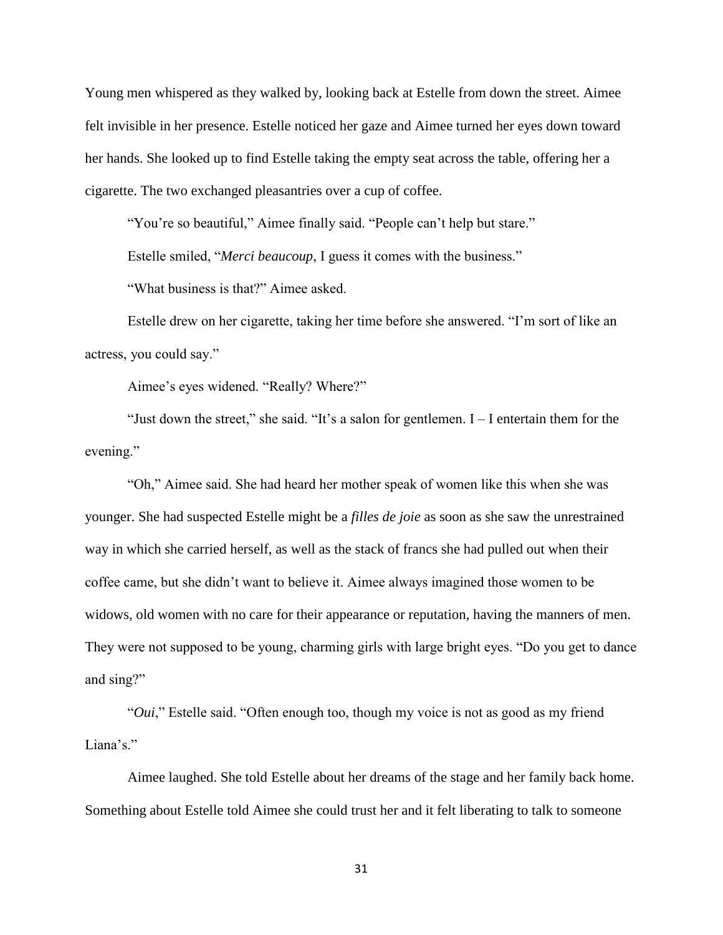Young men whispered as they walked by, looking back at Estelle from down the street. Aimee felt invisible in her presence. Estelle noticed her gaze and Aimee turned her eyes down toward her hands. She looked up to find Estelle taking the empty seat across the table, offering her a cigarette. The two exchanged pleasantries over a cup of coffee.

"You're so beautiful," Aimee finally said. "People can't help but stare."

Estelle smiled, "*Merci beaucoup*, I guess it comes with the business."

"What business is that?" Aimee asked.

Estelle drew on her cigarette, taking her time before she answered. "I'm sort of like an actress, you could say."

Aimee's eyes widened. "Really? Where?"

"Just down the street," she said. "It's a salon for gentlemen. I – I entertain them for the evening."

"Oh," Aimee said. She had heard her mother speak of women like this when she was younger. She had suspected Estelle might be a *filles de joie* as soon as she saw the unrestrained way in which she carried herself, as well as the stack of francs she had pulled out when their coffee came, but she didn't want to believe it. Aimee always imagined those women to be widows, old women with no care for their appearance or reputation, having the manners of men. They were not supposed to be young, charming girls with large bright eyes. "Do you get to dance and sing?"

"*Oui*," Estelle said. "Often enough too, though my voice is not as good as my friend Liana's."

Aimee laughed. She told Estelle about her dreams of the stage and her family back home. Something about Estelle told Aimee she could trust her and it felt liberating to talk to someone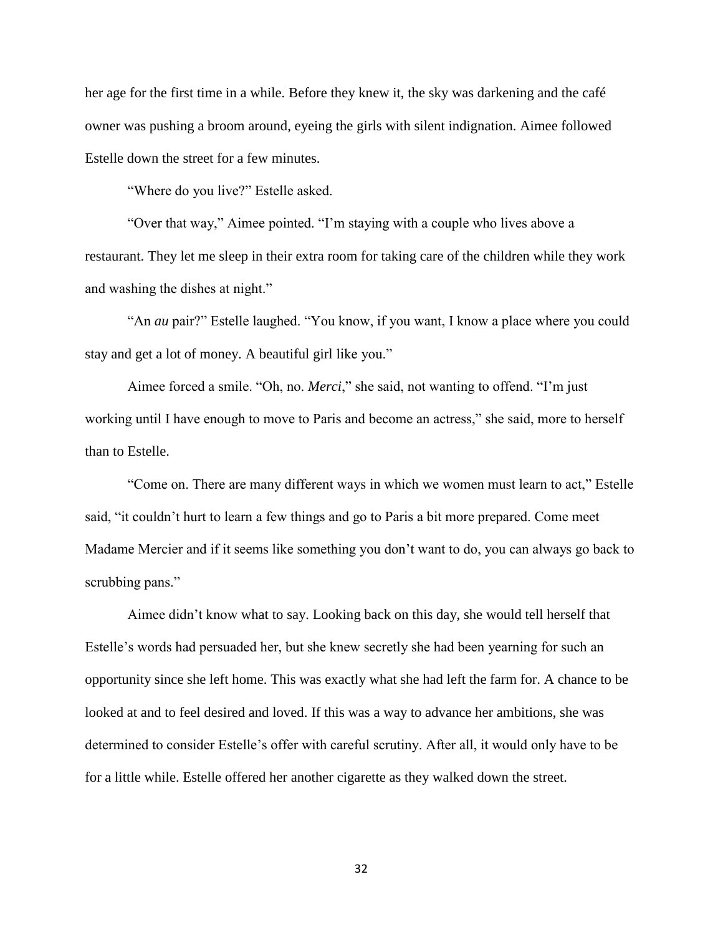her age for the first time in a while. Before they knew it, the sky was darkening and the café owner was pushing a broom around, eyeing the girls with silent indignation. Aimee followed Estelle down the street for a few minutes.

"Where do you live?" Estelle asked.

"Over that way," Aimee pointed. "I'm staying with a couple who lives above a restaurant. They let me sleep in their extra room for taking care of the children while they work and washing the dishes at night."

"An *au* pair?" Estelle laughed. "You know, if you want, I know a place where you could stay and get a lot of money. A beautiful girl like you."

Aimee forced a smile. "Oh, no. *Merci*," she said, not wanting to offend. "I'm just working until I have enough to move to Paris and become an actress," she said, more to herself than to Estelle.

"Come on. There are many different ways in which we women must learn to act," Estelle said, "it couldn't hurt to learn a few things and go to Paris a bit more prepared. Come meet Madame Mercier and if it seems like something you don't want to do, you can always go back to scrubbing pans."

Aimee didn't know what to say. Looking back on this day, she would tell herself that Estelle's words had persuaded her, but she knew secretly she had been yearning for such an opportunity since she left home. This was exactly what she had left the farm for. A chance to be looked at and to feel desired and loved. If this was a way to advance her ambitions, she was determined to consider Estelle's offer with careful scrutiny. After all, it would only have to be for a little while. Estelle offered her another cigarette as they walked down the street.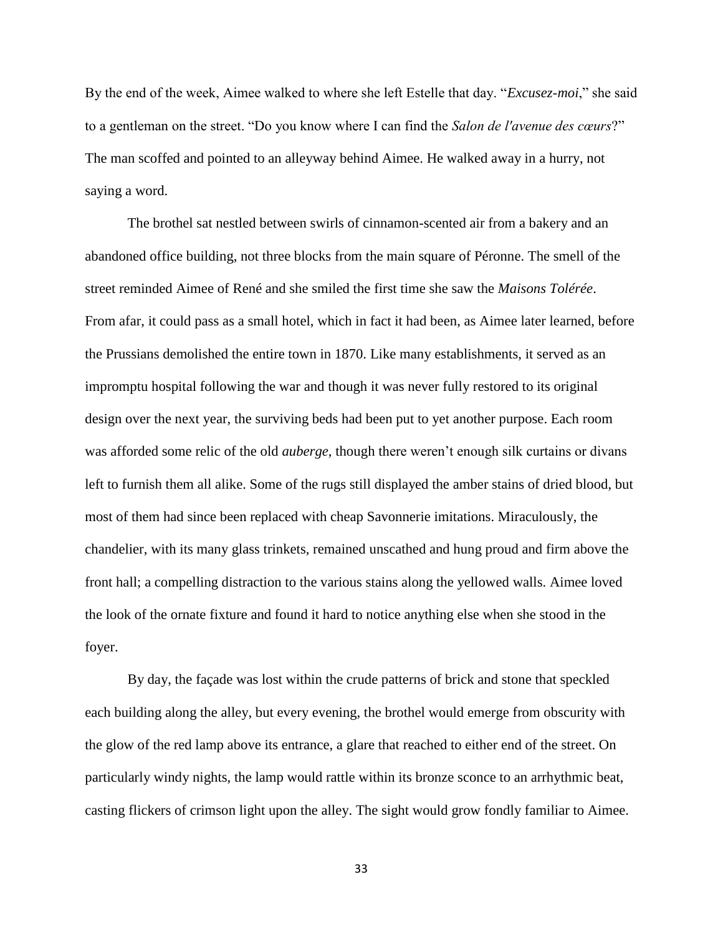By the end of the week, Aimee walked to where she left Estelle that day. "*Excusez-moi*," she said to a gentleman on the street. "Do you know where I can find the *Salon de l'avenue des cœurs*?" The man scoffed and pointed to an alleyway behind Aimee. He walked away in a hurry, not saying a word.

The brothel sat nestled between swirls of cinnamon-scented air from a bakery and an abandoned office building, not three blocks from the main square of Péronne. The smell of the street reminded Aimee of René and she smiled the first time she saw the *Maisons Tolérée*. From afar, it could pass as a small hotel, which in fact it had been, as Aimee later learned, before the Prussians demolished the entire town in 1870. Like many establishments, it served as an impromptu hospital following the war and though it was never fully restored to its original design over the next year, the surviving beds had been put to yet another purpose. Each room was afforded some relic of the old *auberge*, though there weren't enough silk curtains or divans left to furnish them all alike. Some of the rugs still displayed the amber stains of dried blood, but most of them had since been replaced with cheap Savonnerie imitations. Miraculously, the chandelier, with its many glass trinkets, remained unscathed and hung proud and firm above the front hall; a compelling distraction to the various stains along the yellowed walls. Aimee loved the look of the ornate fixture and found it hard to notice anything else when she stood in the foyer.

By day, the façade was lost within the crude patterns of brick and stone that speckled each building along the alley, but every evening, the brothel would emerge from obscurity with the glow of the red lamp above its entrance, a glare that reached to either end of the street. On particularly windy nights, the lamp would rattle within its bronze sconce to an arrhythmic beat, casting flickers of crimson light upon the alley. The sight would grow fondly familiar to Aimee.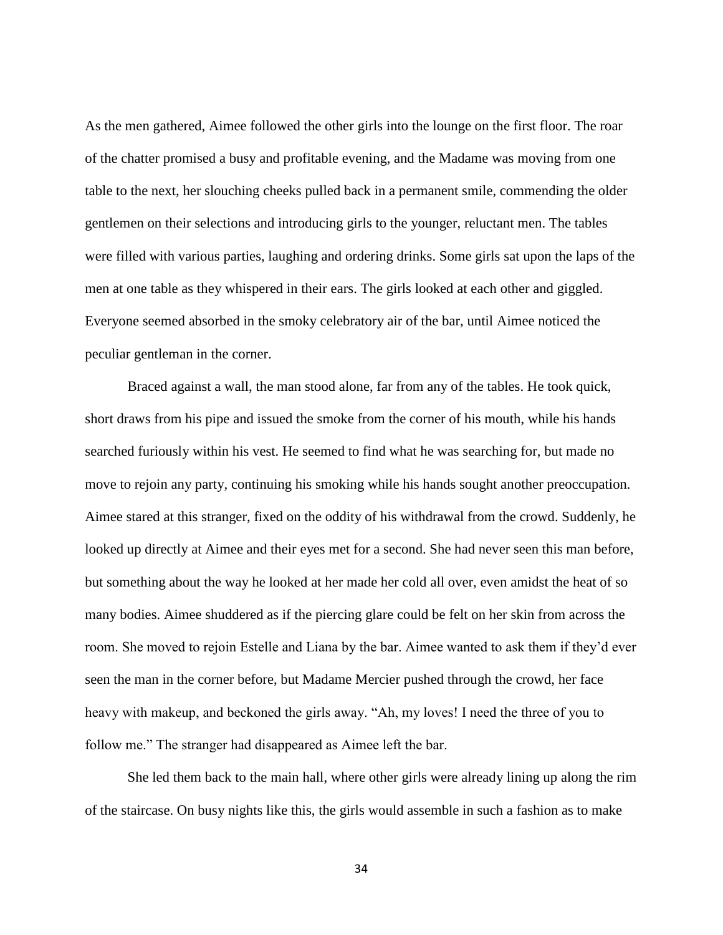As the men gathered, Aimee followed the other girls into the lounge on the first floor. The roar of the chatter promised a busy and profitable evening, and the Madame was moving from one table to the next, her slouching cheeks pulled back in a permanent smile, commending the older gentlemen on their selections and introducing girls to the younger, reluctant men. The tables were filled with various parties, laughing and ordering drinks. Some girls sat upon the laps of the men at one table as they whispered in their ears. The girls looked at each other and giggled. Everyone seemed absorbed in the smoky celebratory air of the bar, until Aimee noticed the peculiar gentleman in the corner.

Braced against a wall, the man stood alone, far from any of the tables. He took quick, short draws from his pipe and issued the smoke from the corner of his mouth, while his hands searched furiously within his vest. He seemed to find what he was searching for, but made no move to rejoin any party, continuing his smoking while his hands sought another preoccupation. Aimee stared at this stranger, fixed on the oddity of his withdrawal from the crowd. Suddenly, he looked up directly at Aimee and their eyes met for a second. She had never seen this man before, but something about the way he looked at her made her cold all over, even amidst the heat of so many bodies. Aimee shuddered as if the piercing glare could be felt on her skin from across the room. She moved to rejoin Estelle and Liana by the bar. Aimee wanted to ask them if they'd ever seen the man in the corner before, but Madame Mercier pushed through the crowd, her face heavy with makeup, and beckoned the girls away. "Ah, my loves! I need the three of you to follow me." The stranger had disappeared as Aimee left the bar.

She led them back to the main hall, where other girls were already lining up along the rim of the staircase. On busy nights like this, the girls would assemble in such a fashion as to make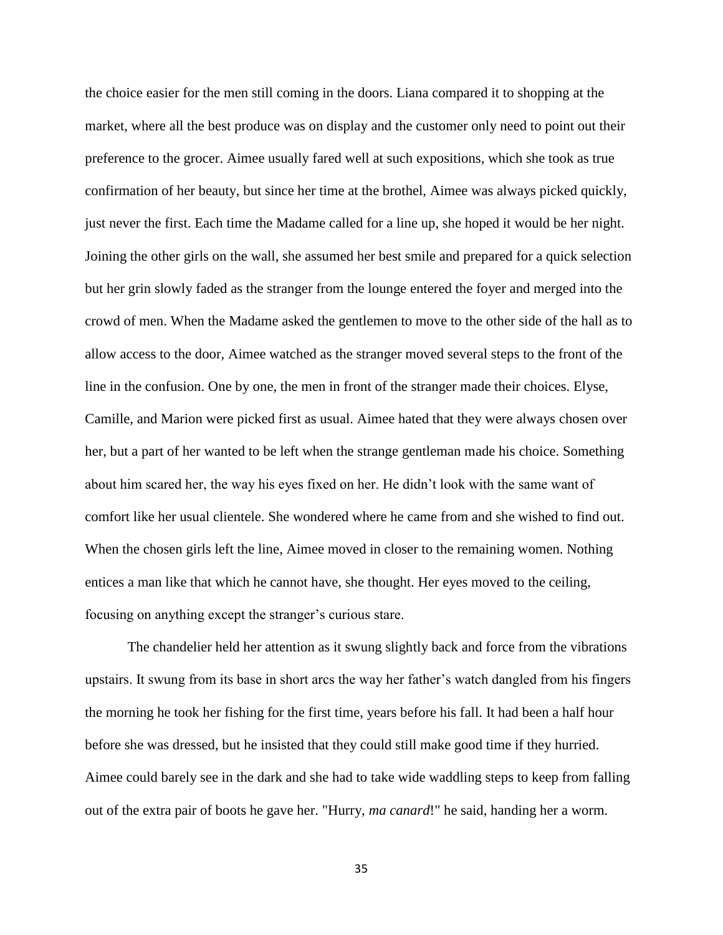the choice easier for the men still coming in the doors. Liana compared it to shopping at the market, where all the best produce was on display and the customer only need to point out their preference to the grocer. Aimee usually fared well at such expositions, which she took as true confirmation of her beauty, but since her time at the brothel, Aimee was always picked quickly, just never the first. Each time the Madame called for a line up, she hoped it would be her night. Joining the other girls on the wall, she assumed her best smile and prepared for a quick selection but her grin slowly faded as the stranger from the lounge entered the foyer and merged into the crowd of men. When the Madame asked the gentlemen to move to the other side of the hall as to allow access to the door, Aimee watched as the stranger moved several steps to the front of the line in the confusion. One by one, the men in front of the stranger made their choices. Elyse, Camille, and Marion were picked first as usual. Aimee hated that they were always chosen over her, but a part of her wanted to be left when the strange gentleman made his choice. Something about him scared her, the way his eyes fixed on her. He didn't look with the same want of comfort like her usual clientele. She wondered where he came from and she wished to find out. When the chosen girls left the line, Aimee moved in closer to the remaining women. Nothing entices a man like that which he cannot have, she thought. Her eyes moved to the ceiling, focusing on anything except the stranger's curious stare.

The chandelier held her attention as it swung slightly back and force from the vibrations upstairs. It swung from its base in short arcs the way her father's watch dangled from his fingers the morning he took her fishing for the first time, years before his fall. It had been a half hour before she was dressed, but he insisted that they could still make good time if they hurried. Aimee could barely see in the dark and she had to take wide waddling steps to keep from falling out of the extra pair of boots he gave her. "Hurry, *ma canard*!" he said, handing her a worm.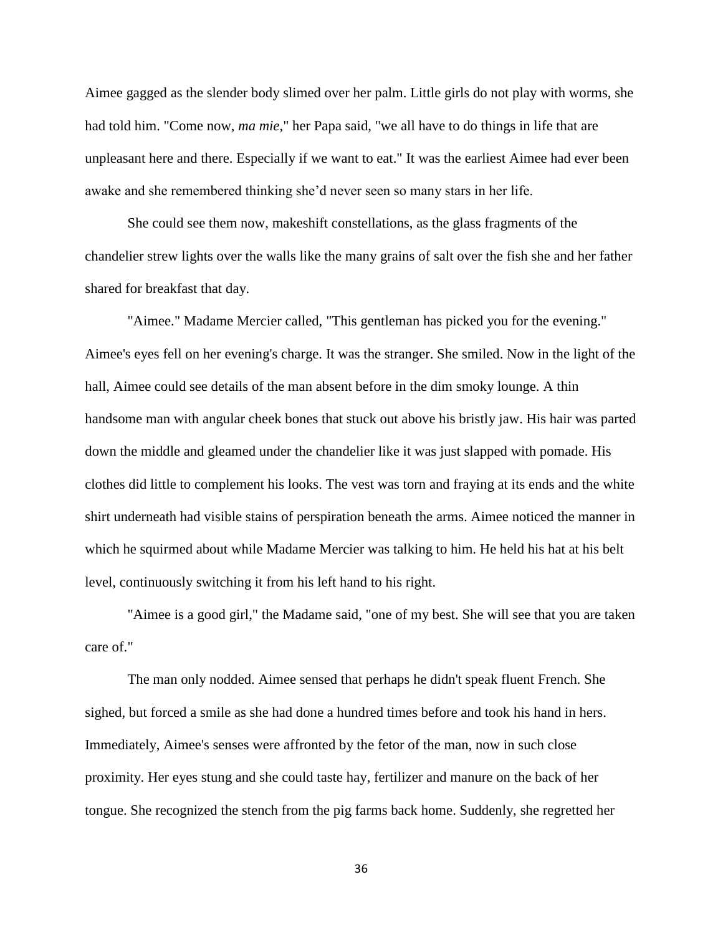Aimee gagged as the slender body slimed over her palm. Little girls do not play with worms, she had told him. "Come now, *ma mie*," her Papa said, "we all have to do things in life that are unpleasant here and there. Especially if we want to eat." It was the earliest Aimee had ever been awake and she remembered thinking she'd never seen so many stars in her life.

She could see them now, makeshift constellations, as the glass fragments of the chandelier strew lights over the walls like the many grains of salt over the fish she and her father shared for breakfast that day.

"Aimee." Madame Mercier called, "This gentleman has picked you for the evening." Aimee's eyes fell on her evening's charge. It was the stranger. She smiled. Now in the light of the hall, Aimee could see details of the man absent before in the dim smoky lounge. A thin handsome man with angular cheek bones that stuck out above his bristly jaw. His hair was parted down the middle and gleamed under the chandelier like it was just slapped with pomade. His clothes did little to complement his looks. The vest was torn and fraying at its ends and the white shirt underneath had visible stains of perspiration beneath the arms. Aimee noticed the manner in which he squirmed about while Madame Mercier was talking to him. He held his hat at his belt level, continuously switching it from his left hand to his right.

"Aimee is a good girl," the Madame said, "one of my best. She will see that you are taken care of."

The man only nodded. Aimee sensed that perhaps he didn't speak fluent French. She sighed, but forced a smile as she had done a hundred times before and took his hand in hers. Immediately, Aimee's senses were affronted by the fetor of the man, now in such close proximity. Her eyes stung and she could taste hay, fertilizer and manure on the back of her tongue. She recognized the stench from the pig farms back home. Suddenly, she regretted her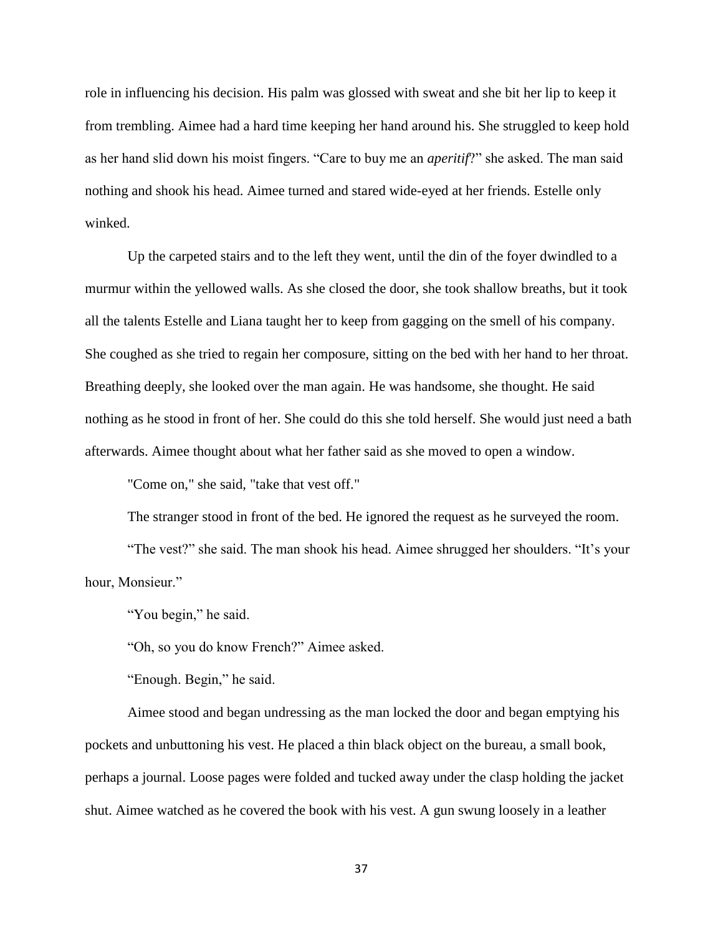role in influencing his decision. His palm was glossed with sweat and she bit her lip to keep it from trembling. Aimee had a hard time keeping her hand around his. She struggled to keep hold as her hand slid down his moist fingers. "Care to buy me an *aperitif*?" she asked. The man said nothing and shook his head. Aimee turned and stared wide-eyed at her friends. Estelle only winked.

Up the carpeted stairs and to the left they went, until the din of the foyer dwindled to a murmur within the yellowed walls. As she closed the door, she took shallow breaths, but it took all the talents Estelle and Liana taught her to keep from gagging on the smell of his company. She coughed as she tried to regain her composure, sitting on the bed with her hand to her throat. Breathing deeply, she looked over the man again. He was handsome, she thought. He said nothing as he stood in front of her. She could do this she told herself. She would just need a bath afterwards. Aimee thought about what her father said as she moved to open a window.

"Come on," she said, "take that vest off."

The stranger stood in front of the bed. He ignored the request as he surveyed the room.

"The vest?" she said. The man shook his head. Aimee shrugged her shoulders. "It's your hour, Monsieur."

"You begin," he said.

"Oh, so you do know French?" Aimee asked.

"Enough. Begin," he said.

Aimee stood and began undressing as the man locked the door and began emptying his pockets and unbuttoning his vest. He placed a thin black object on the bureau, a small book, perhaps a journal. Loose pages were folded and tucked away under the clasp holding the jacket shut. Aimee watched as he covered the book with his vest. A gun swung loosely in a leather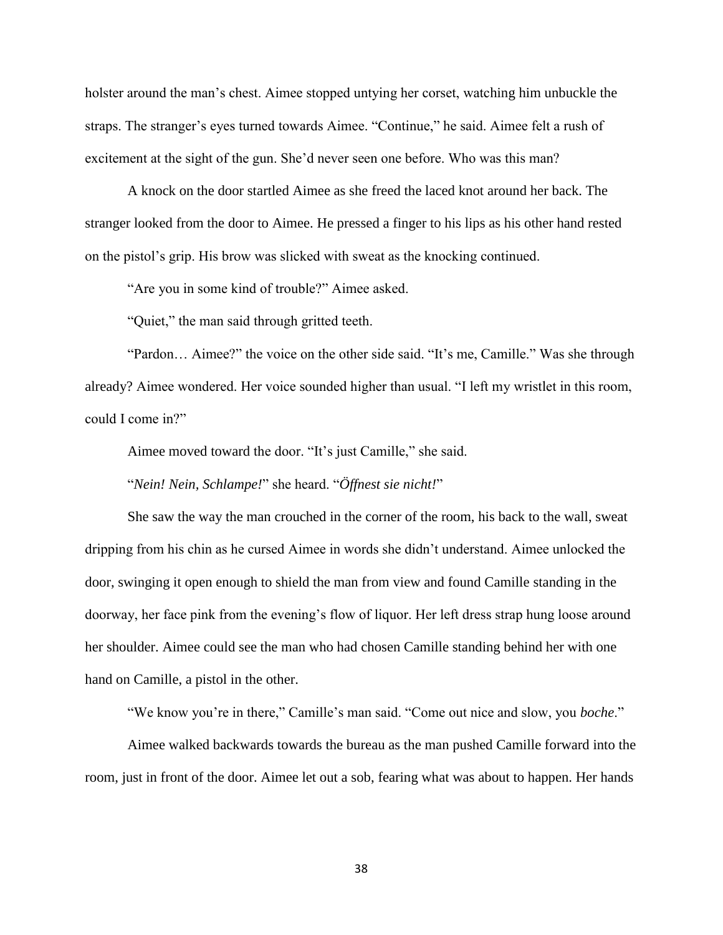holster around the man's chest. Aimee stopped untying her corset, watching him unbuckle the straps. The stranger's eyes turned towards Aimee. "Continue," he said. Aimee felt a rush of excitement at the sight of the gun. She'd never seen one before. Who was this man?

A knock on the door startled Aimee as she freed the laced knot around her back. The stranger looked from the door to Aimee. He pressed a finger to his lips as his other hand rested on the pistol's grip. His brow was slicked with sweat as the knocking continued.

"Are you in some kind of trouble?" Aimee asked.

"Quiet," the man said through gritted teeth.

"Pardon… Aimee?" the voice on the other side said. "It's me, Camille." Was she through already? Aimee wondered. Her voice sounded higher than usual. "I left my wristlet in this room, could I come in?"

Aimee moved toward the door. "It's just Camille," she said.

"*Nein! Nein, Schlampe!*" she heard. "*Öffnest sie nicht!*"

She saw the way the man crouched in the corner of the room, his back to the wall, sweat dripping from his chin as he cursed Aimee in words she didn't understand. Aimee unlocked the door, swinging it open enough to shield the man from view and found Camille standing in the doorway, her face pink from the evening's flow of liquor. Her left dress strap hung loose around her shoulder. Aimee could see the man who had chosen Camille standing behind her with one hand on Camille, a pistol in the other.

"We know you're in there," Camille's man said. "Come out nice and slow, you *boche*."

Aimee walked backwards towards the bureau as the man pushed Camille forward into the room, just in front of the door. Aimee let out a sob, fearing what was about to happen. Her hands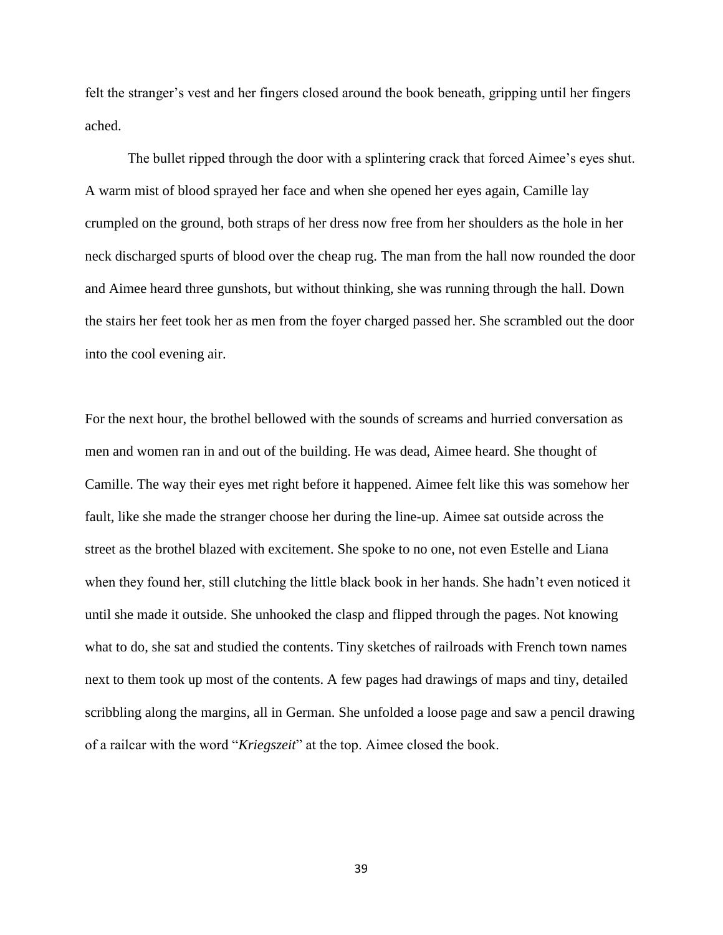felt the stranger's vest and her fingers closed around the book beneath, gripping until her fingers ached.

The bullet ripped through the door with a splintering crack that forced Aimee's eyes shut. A warm mist of blood sprayed her face and when she opened her eyes again, Camille lay crumpled on the ground, both straps of her dress now free from her shoulders as the hole in her neck discharged spurts of blood over the cheap rug. The man from the hall now rounded the door and Aimee heard three gunshots, but without thinking, she was running through the hall. Down the stairs her feet took her as men from the foyer charged passed her. She scrambled out the door into the cool evening air.

For the next hour, the brothel bellowed with the sounds of screams and hurried conversation as men and women ran in and out of the building. He was dead, Aimee heard. She thought of Camille. The way their eyes met right before it happened. Aimee felt like this was somehow her fault, like she made the stranger choose her during the line-up. Aimee sat outside across the street as the brothel blazed with excitement. She spoke to no one, not even Estelle and Liana when they found her, still clutching the little black book in her hands. She hadn't even noticed it until she made it outside. She unhooked the clasp and flipped through the pages. Not knowing what to do, she sat and studied the contents. Tiny sketches of railroads with French town names next to them took up most of the contents. A few pages had drawings of maps and tiny, detailed scribbling along the margins, all in German. She unfolded a loose page and saw a pencil drawing of a railcar with the word "*Kriegszeit*" at the top. Aimee closed the book.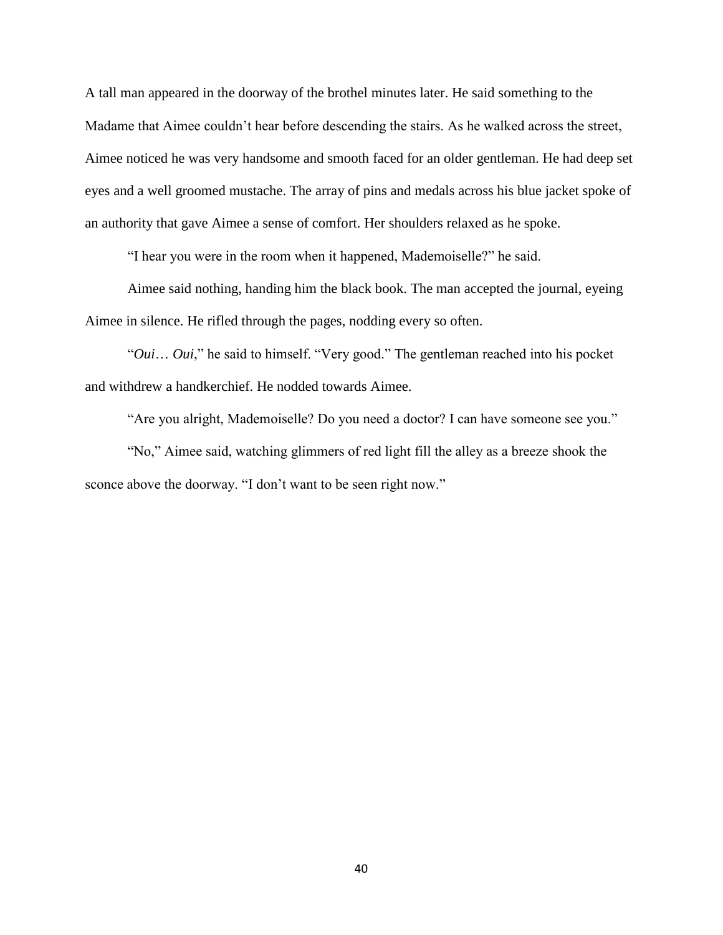A tall man appeared in the doorway of the brothel minutes later. He said something to the Madame that Aimee couldn't hear before descending the stairs. As he walked across the street, Aimee noticed he was very handsome and smooth faced for an older gentleman. He had deep set eyes and a well groomed mustache. The array of pins and medals across his blue jacket spoke of an authority that gave Aimee a sense of comfort. Her shoulders relaxed as he spoke.

"I hear you were in the room when it happened, Mademoiselle?" he said.

Aimee said nothing, handing him the black book. The man accepted the journal, eyeing Aimee in silence. He rifled through the pages, nodding every so often.

"*Oui*… *Oui*," he said to himself. "Very good." The gentleman reached into his pocket and withdrew a handkerchief. He nodded towards Aimee.

"Are you alright, Mademoiselle? Do you need a doctor? I can have someone see you."

"No," Aimee said, watching glimmers of red light fill the alley as a breeze shook the sconce above the doorway. "I don't want to be seen right now."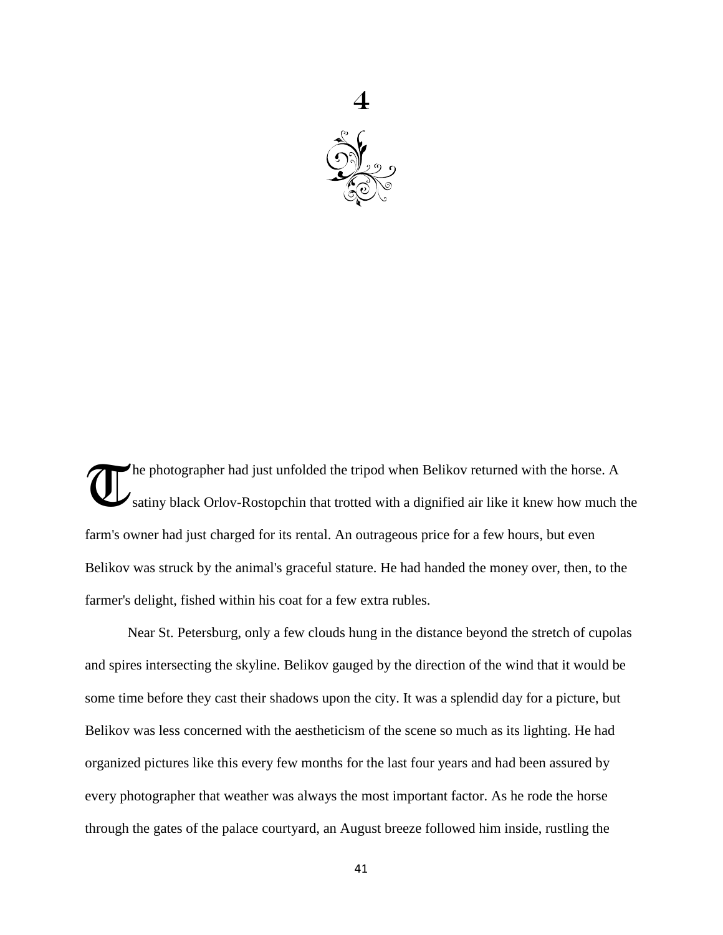

he photographer had just unfolded the tripod when Belikov returned with the horse. A satiny black Orlov-Rostopchin that trotted with a dignified air like it knew how much the farm's owner had just charged for its rental. An outrageous price for a few hours, but even Belikov was struck by the animal's graceful stature. He had handed the money over, then, to the farmer's delight, fished within his coat for a few extra rubles. **T** 

Near St. Petersburg, only a few clouds hung in the distance beyond the stretch of cupolas and spires intersecting the skyline. Belikov gauged by the direction of the wind that it would be some time before they cast their shadows upon the city. It was a splendid day for a picture, but Belikov was less concerned with the aestheticism of the scene so much as its lighting. He had organized pictures like this every few months for the last four years and had been assured by every photographer that weather was always the most important factor. As he rode the horse through the gates of the palace courtyard, an August breeze followed him inside, rustling the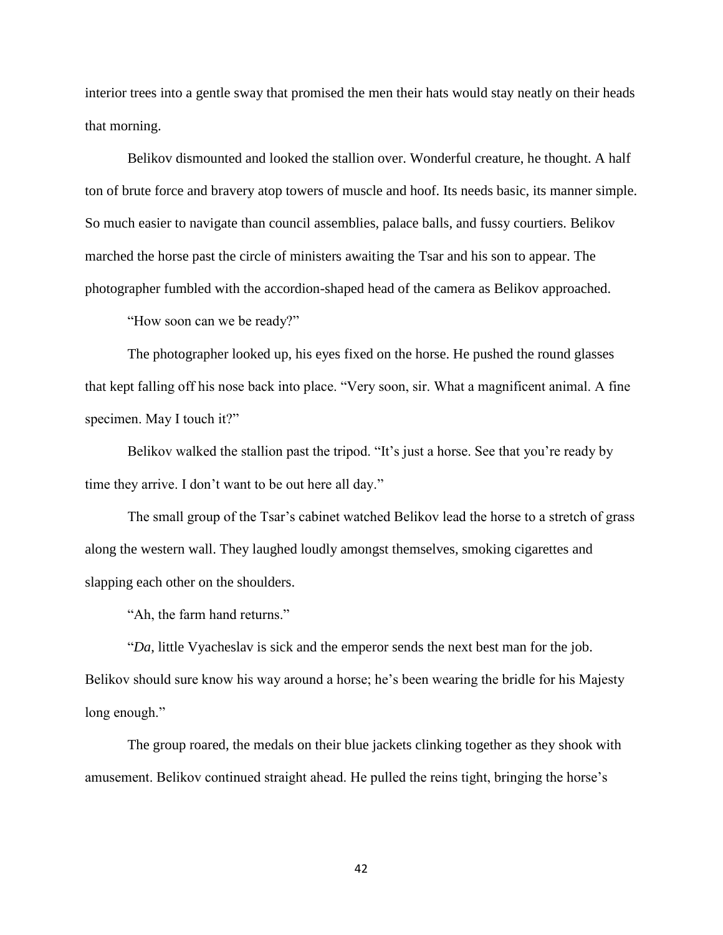interior trees into a gentle sway that promised the men their hats would stay neatly on their heads that morning.

Belikov dismounted and looked the stallion over. Wonderful creature, he thought. A half ton of brute force and bravery atop towers of muscle and hoof. Its needs basic, its manner simple. So much easier to navigate than council assemblies, palace balls, and fussy courtiers. Belikov marched the horse past the circle of ministers awaiting the Tsar and his son to appear. The photographer fumbled with the accordion-shaped head of the camera as Belikov approached.

"How soon can we be ready?"

The photographer looked up, his eyes fixed on the horse. He pushed the round glasses that kept falling off his nose back into place. "Very soon, sir. What a magnificent animal. A fine specimen. May I touch it?"

Belikov walked the stallion past the tripod. "It's just a horse. See that you're ready by time they arrive. I don't want to be out here all day."

The small group of the Tsar's cabinet watched Belikov lead the horse to a stretch of grass along the western wall. They laughed loudly amongst themselves, smoking cigarettes and slapping each other on the shoulders.

"Ah, the farm hand returns."

"*Da*, little Vyacheslav is sick and the emperor sends the next best man for the job. Belikov should sure know his way around a horse; he's been wearing the bridle for his Majesty long enough."

The group roared, the medals on their blue jackets clinking together as they shook with amusement. Belikov continued straight ahead. He pulled the reins tight, bringing the horse's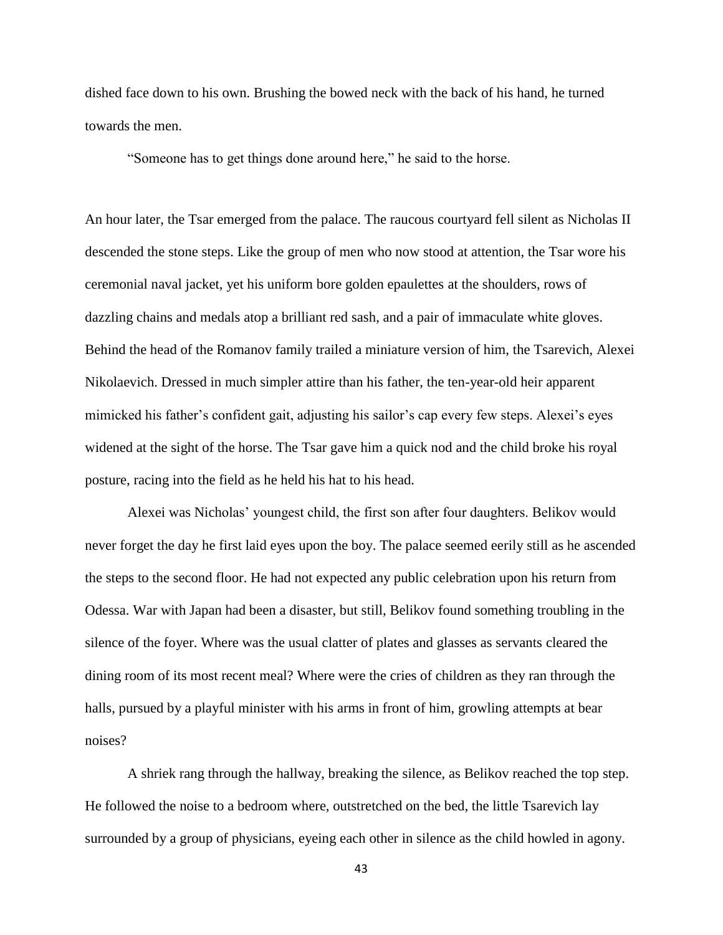dished face down to his own. Brushing the bowed neck with the back of his hand, he turned towards the men.

"Someone has to get things done around here," he said to the horse.

An hour later, the Tsar emerged from the palace. The raucous courtyard fell silent as Nicholas II descended the stone steps. Like the group of men who now stood at attention, the Tsar wore his ceremonial naval jacket, yet his uniform bore golden epaulettes at the shoulders, rows of dazzling chains and medals atop a brilliant red sash, and a pair of immaculate white gloves. Behind the head of the Romanov family trailed a miniature version of him, the Tsarevich, Alexei Nikolaevich. Dressed in much simpler attire than his father, the ten-year-old heir apparent mimicked his father's confident gait, adjusting his sailor's cap every few steps. Alexei's eyes widened at the sight of the horse. The Tsar gave him a quick nod and the child broke his royal posture, racing into the field as he held his hat to his head.

Alexei was Nicholas' youngest child, the first son after four daughters. Belikov would never forget the day he first laid eyes upon the boy. The palace seemed eerily still as he ascended the steps to the second floor. He had not expected any public celebration upon his return from Odessa. War with Japan had been a disaster, but still, Belikov found something troubling in the silence of the foyer. Where was the usual clatter of plates and glasses as servants cleared the dining room of its most recent meal? Where were the cries of children as they ran through the halls, pursued by a playful minister with his arms in front of him, growling attempts at bear noises?

A shriek rang through the hallway, breaking the silence, as Belikov reached the top step. He followed the noise to a bedroom where, outstretched on the bed, the little Tsarevich lay surrounded by a group of physicians, eyeing each other in silence as the child howled in agony.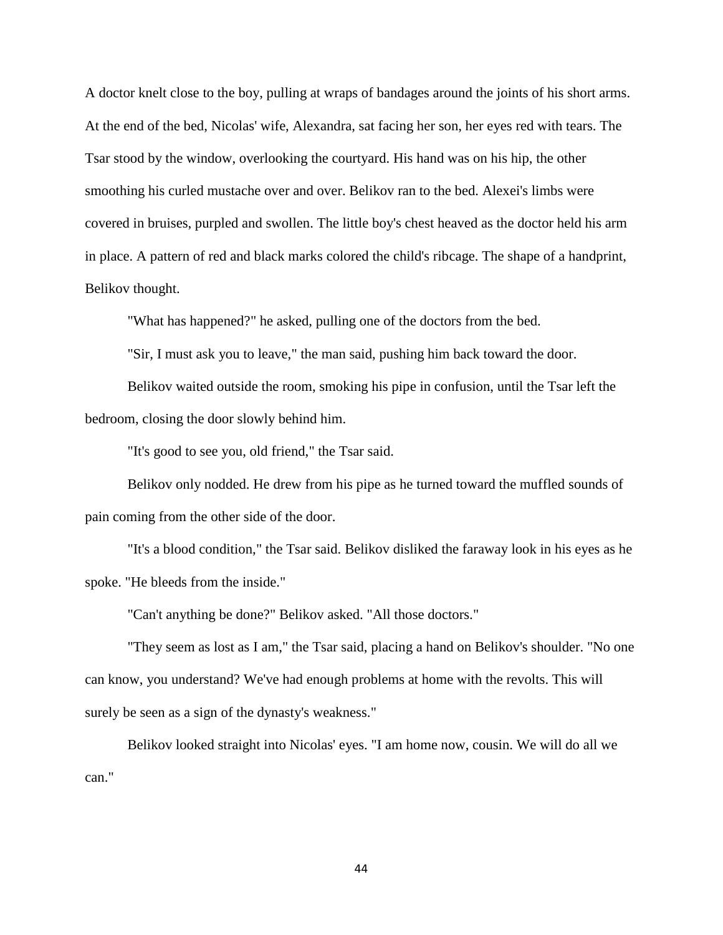A doctor knelt close to the boy, pulling at wraps of bandages around the joints of his short arms. At the end of the bed, Nicolas' wife, Alexandra, sat facing her son, her eyes red with tears. The Tsar stood by the window, overlooking the courtyard. His hand was on his hip, the other smoothing his curled mustache over and over. Belikov ran to the bed. Alexei's limbs were covered in bruises, purpled and swollen. The little boy's chest heaved as the doctor held his arm in place. A pattern of red and black marks colored the child's ribcage. The shape of a handprint, Belikov thought.

"What has happened?" he asked, pulling one of the doctors from the bed.

"Sir, I must ask you to leave," the man said, pushing him back toward the door.

Belikov waited outside the room, smoking his pipe in confusion, until the Tsar left the bedroom, closing the door slowly behind him.

"It's good to see you, old friend," the Tsar said.

Belikov only nodded. He drew from his pipe as he turned toward the muffled sounds of pain coming from the other side of the door.

"It's a blood condition," the Tsar said. Belikov disliked the faraway look in his eyes as he spoke. "He bleeds from the inside."

"Can't anything be done?" Belikov asked. "All those doctors."

"They seem as lost as I am," the Tsar said, placing a hand on Belikov's shoulder. "No one can know, you understand? We've had enough problems at home with the revolts. This will surely be seen as a sign of the dynasty's weakness."

Belikov looked straight into Nicolas' eyes. "I am home now, cousin. We will do all we can."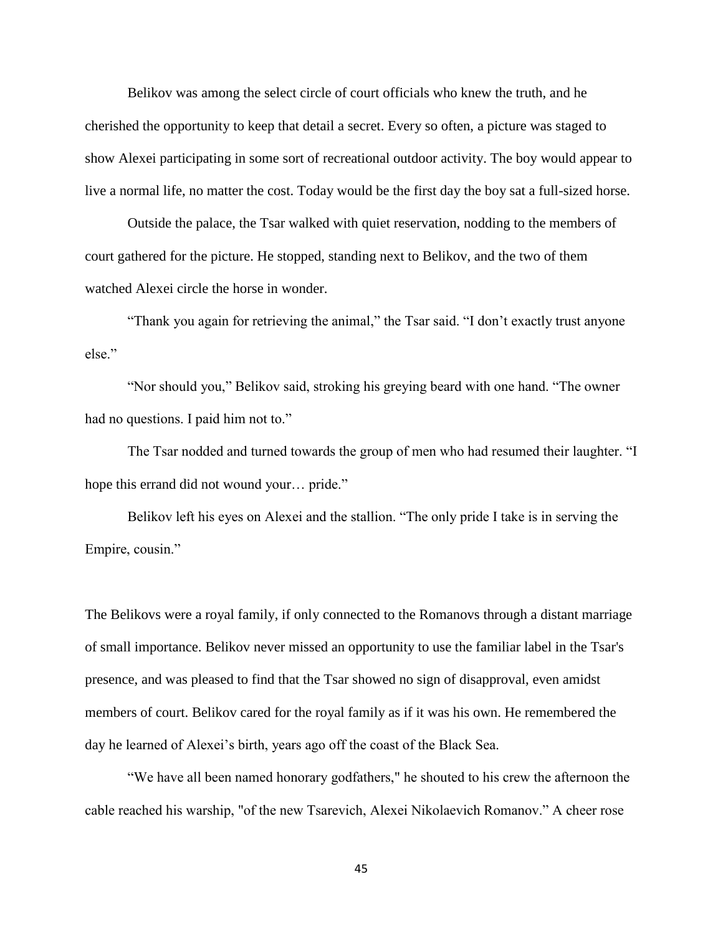Belikov was among the select circle of court officials who knew the truth, and he cherished the opportunity to keep that detail a secret. Every so often, a picture was staged to show Alexei participating in some sort of recreational outdoor activity. The boy would appear to live a normal life, no matter the cost. Today would be the first day the boy sat a full-sized horse.

 Outside the palace, the Tsar walked with quiet reservation, nodding to the members of court gathered for the picture. He stopped, standing next to Belikov, and the two of them watched Alexei circle the horse in wonder.

 "Thank you again for retrieving the animal," the Tsar said. "I don't exactly trust anyone else."

 "Nor should you," Belikov said, stroking his greying beard with one hand. "The owner had no questions. I paid him not to."

The Tsar nodded and turned towards the group of men who had resumed their laughter. "I hope this errand did not wound your… pride."

Belikov left his eyes on Alexei and the stallion. "The only pride I take is in serving the Empire, cousin."

The Belikovs were a royal family, if only connected to the Romanovs through a distant marriage of small importance. Belikov never missed an opportunity to use the familiar label in the Tsar's presence, and was pleased to find that the Tsar showed no sign of disapproval, even amidst members of court. Belikov cared for the royal family as if it was his own. He remembered the day he learned of Alexei's birth, years ago off the coast of the Black Sea.

"We have all been named honorary godfathers," he shouted to his crew the afternoon the cable reached his warship, "of the new Tsarevich, Alexei Nikolaevich Romanov." A cheer rose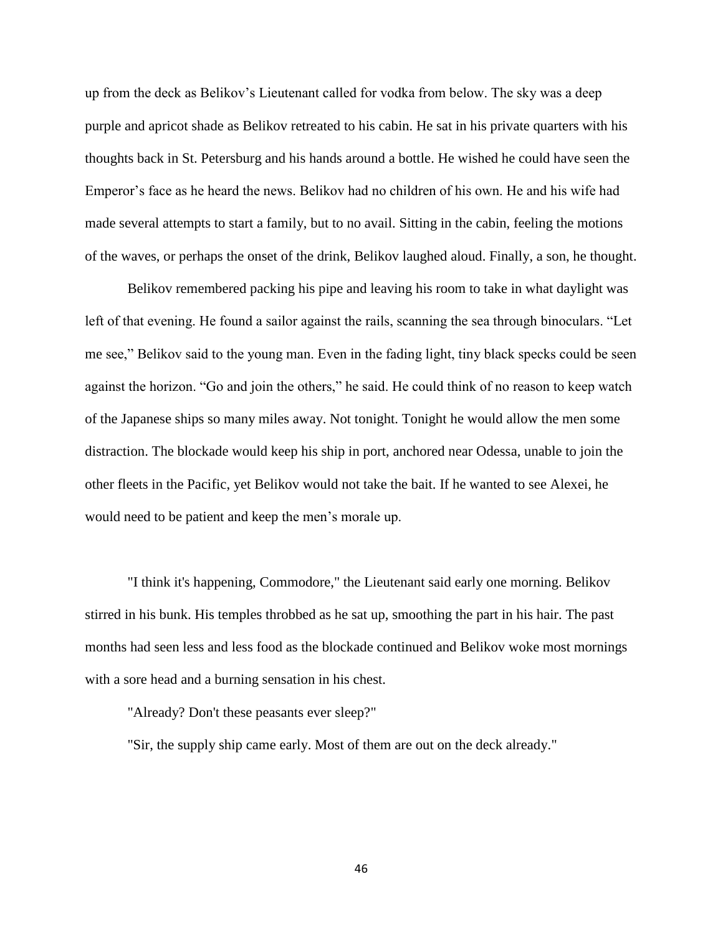up from the deck as Belikov's Lieutenant called for vodka from below. The sky was a deep purple and apricot shade as Belikov retreated to his cabin. He sat in his private quarters with his thoughts back in St. Petersburg and his hands around a bottle. He wished he could have seen the Emperor's face as he heard the news. Belikov had no children of his own. He and his wife had made several attempts to start a family, but to no avail. Sitting in the cabin, feeling the motions of the waves, or perhaps the onset of the drink, Belikov laughed aloud. Finally, a son, he thought.

Belikov remembered packing his pipe and leaving his room to take in what daylight was left of that evening. He found a sailor against the rails, scanning the sea through binoculars. "Let me see," Belikov said to the young man. Even in the fading light, tiny black specks could be seen against the horizon. "Go and join the others," he said. He could think of no reason to keep watch of the Japanese ships so many miles away. Not tonight. Tonight he would allow the men some distraction. The blockade would keep his ship in port, anchored near Odessa, unable to join the other fleets in the Pacific, yet Belikov would not take the bait. If he wanted to see Alexei, he would need to be patient and keep the men's morale up.

"I think it's happening, Commodore," the Lieutenant said early one morning. Belikov stirred in his bunk. His temples throbbed as he sat up, smoothing the part in his hair. The past months had seen less and less food as the blockade continued and Belikov woke most mornings with a sore head and a burning sensation in his chest.

"Already? Don't these peasants ever sleep?"

"Sir, the supply ship came early. Most of them are out on the deck already."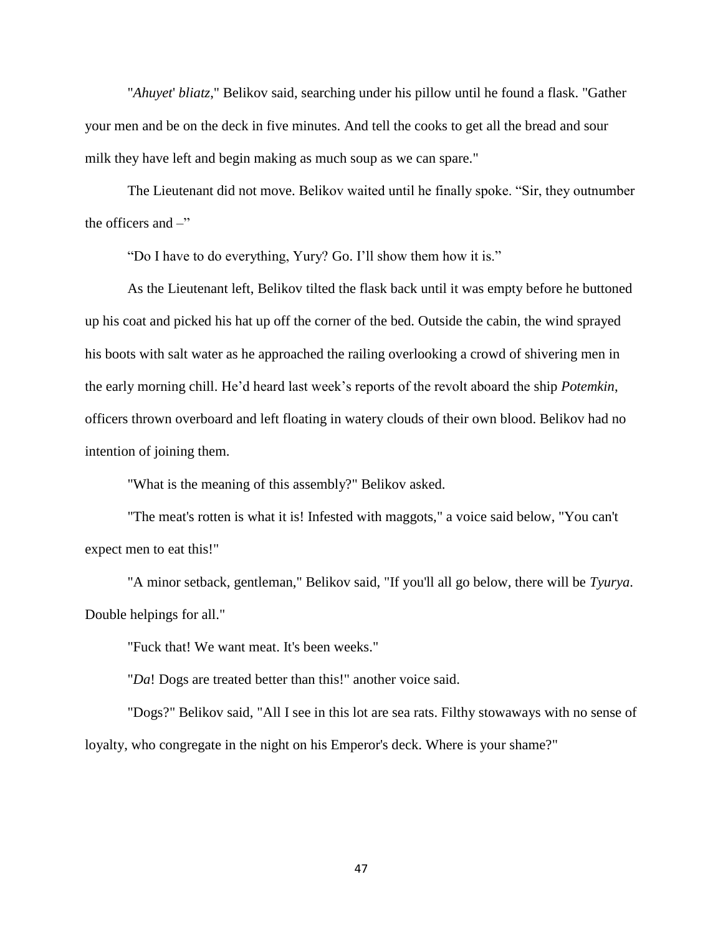"*Ahuyet*' *bliatz*," Belikov said, searching under his pillow until he found a flask. "Gather your men and be on the deck in five minutes. And tell the cooks to get all the bread and sour milk they have left and begin making as much soup as we can spare."

The Lieutenant did not move. Belikov waited until he finally spoke. "Sir, they outnumber the officers and  $-$ "

"Do I have to do everything, Yury? Go. I'll show them how it is."

As the Lieutenant left, Belikov tilted the flask back until it was empty before he buttoned up his coat and picked his hat up off the corner of the bed. Outside the cabin, the wind sprayed his boots with salt water as he approached the railing overlooking a crowd of shivering men in the early morning chill. He'd heard last week's reports of the revolt aboard the ship *Potemkin*, officers thrown overboard and left floating in watery clouds of their own blood. Belikov had no intention of joining them.

"What is the meaning of this assembly?" Belikov asked.

"The meat's rotten is what it is! Infested with maggots," a voice said below, "You can't expect men to eat this!"

"A minor setback, gentleman," Belikov said, "If you'll all go below, there will be *Tyurya*. Double helpings for all."

"Fuck that! We want meat. It's been weeks."

"*Da*! Dogs are treated better than this!" another voice said.

"Dogs?" Belikov said, "All I see in this lot are sea rats. Filthy stowaways with no sense of loyalty, who congregate in the night on his Emperor's deck. Where is your shame?"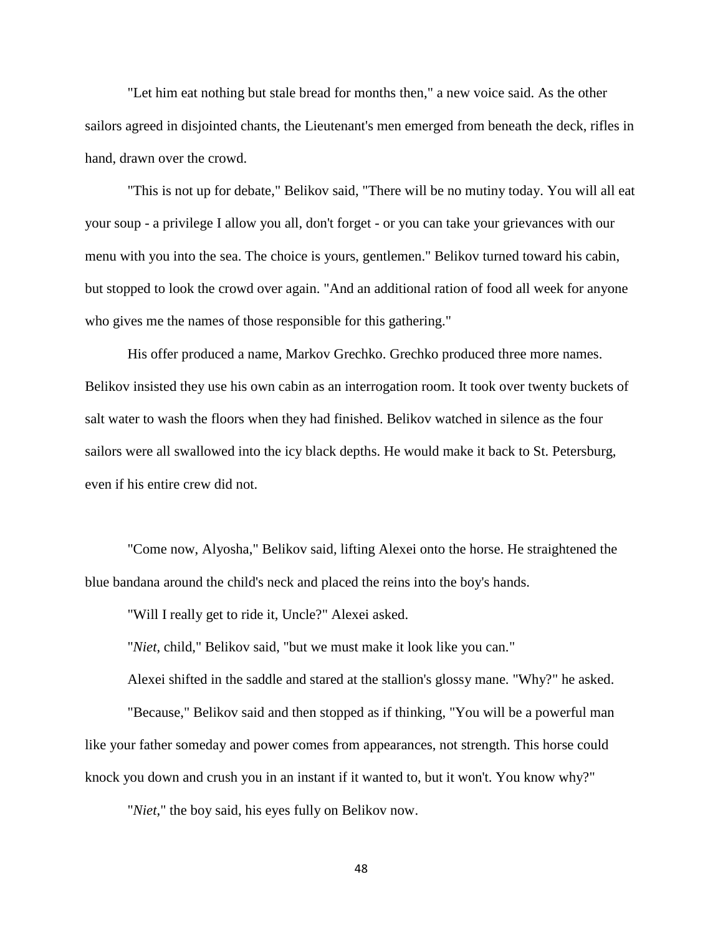"Let him eat nothing but stale bread for months then," a new voice said. As the other sailors agreed in disjointed chants, the Lieutenant's men emerged from beneath the deck, rifles in hand, drawn over the crowd.

"This is not up for debate," Belikov said, "There will be no mutiny today. You will all eat your soup - a privilege I allow you all, don't forget - or you can take your grievances with our menu with you into the sea. The choice is yours, gentlemen." Belikov turned toward his cabin, but stopped to look the crowd over again. "And an additional ration of food all week for anyone who gives me the names of those responsible for this gathering."

His offer produced a name, Markov Grechko. Grechko produced three more names. Belikov insisted they use his own cabin as an interrogation room. It took over twenty buckets of salt water to wash the floors when they had finished. Belikov watched in silence as the four sailors were all swallowed into the icy black depths. He would make it back to St. Petersburg, even if his entire crew did not.

"Come now, Alyosha," Belikov said, lifting Alexei onto the horse. He straightened the blue bandana around the child's neck and placed the reins into the boy's hands.

"Will I really get to ride it, Uncle?" Alexei asked.

"*Niet*, child," Belikov said, "but we must make it look like you can."

Alexei shifted in the saddle and stared at the stallion's glossy mane. "Why?" he asked.

"Because," Belikov said and then stopped as if thinking, "You will be a powerful man like your father someday and power comes from appearances, not strength. This horse could knock you down and crush you in an instant if it wanted to, but it won't. You know why?"

"*Niet*," the boy said, his eyes fully on Belikov now.